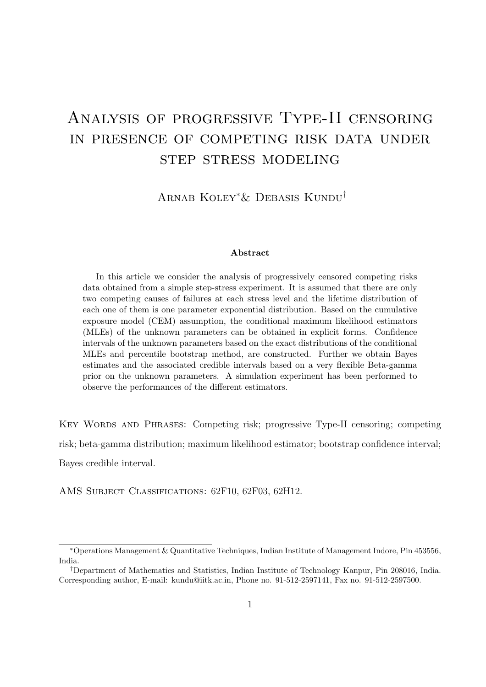# Analysis of progressive Type-II censoring in presence of competing risk data under step stress modeling

Arnab Koley∗& Debasis Kundu†

#### Abstract

In this article we consider the analysis of progressively censored competing risks data obtained from a simple step-stress experiment. It is assumed that there are only two competing causes of failures at each stress level and the lifetime distribution of each one of them is one parameter exponential distribution. Based on the cumulative exposure model (CEM) assumption, the conditional maximum likelihood estimators (MLEs) of the unknown parameters can be obtained in explicit forms. Confidence intervals of the unknown parameters based on the exact distributions of the conditional MLEs and percentile bootstrap method, are constructed. Further we obtain Bayes estimates and the associated credible intervals based on a very flexible Beta-gamma prior on the unknown parameters. A simulation experiment has been performed to observe the performances of the different estimators.

Key Words and Phrases: Competing risk; progressive Type-II censoring; competing risk; beta-gamma distribution; maximum likelihood estimator; bootstrap confidence interval; Bayes credible interval.

AMS SUBJECT CLASSIFICATIONS: 62F10, 62F03, 62H12.

<sup>∗</sup>Operations Management & Quantitative Techniques, Indian Institute of Management Indore, Pin 453556, India.

<sup>†</sup>Department of Mathematics and Statistics, Indian Institute of Technology Kanpur, Pin 208016, India. Corresponding author, E-mail: kundu@iitk.ac.in, Phone no. 91-512-2597141, Fax no. 91-512-2597500.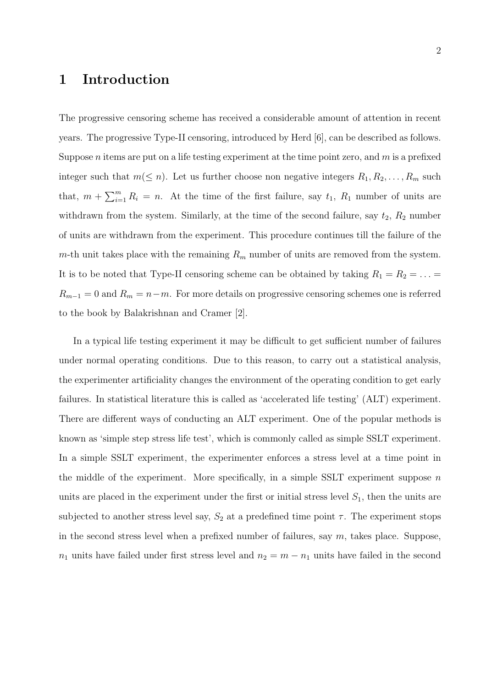# 1 Introduction

The progressive censoring scheme has received a considerable amount of attention in recent years. The progressive Type-II censoring, introduced by Herd [6], can be described as follows. Suppose *n* items are put on a life testing experiment at the time point zero, and  $m$  is a prefixed integer such that  $m(\leq n)$ . Let us further choose non negative integers  $R_1, R_2, \ldots, R_m$  such that,  $m + \sum_{i=1}^{m} R_i = n$ . At the time of the first failure, say  $t_1$ ,  $R_1$  number of units are withdrawn from the system. Similarly, at the time of the second failure, say  $t_2$ ,  $R_2$  number of units are withdrawn from the experiment. This procedure continues till the failure of the m-th unit takes place with the remaining  $R_m$  number of units are removed from the system. It is to be noted that Type-II censoring scheme can be obtained by taking  $R_1 = R_2 = \ldots =$  $R_{m-1} = 0$  and  $R_m = n-m$ . For more details on progressive censoring schemes one is referred to the book by Balakrishnan and Cramer [2].

In a typical life testing experiment it may be difficult to get sufficient number of failures under normal operating conditions. Due to this reason, to carry out a statistical analysis, the experimenter artificiality changes the environment of the operating condition to get early failures. In statistical literature this is called as 'accelerated life testing' (ALT) experiment. There are different ways of conducting an ALT experiment. One of the popular methods is known as 'simple step stress life test', which is commonly called as simple SSLT experiment. In a simple SSLT experiment, the experimenter enforces a stress level at a time point in the middle of the experiment. More specifically, in a simple SSLT experiment suppose  $n$ units are placed in the experiment under the first or initial stress level  $S_1$ , then the units are subjected to another stress level say,  $S_2$  at a predefined time point  $\tau$ . The experiment stops in the second stress level when a prefixed number of failures, say  $m$ , takes place. Suppose,  $n_1$  units have failed under first stress level and  $n_2 = m - n_1$  units have failed in the second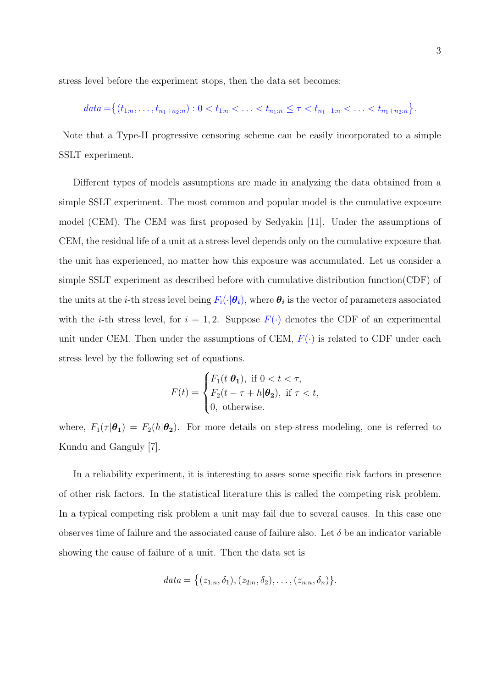stress level before the experiment stops, then the data set becomes:

$$
data = \{(t_{1:n}, \ldots, t_{n_1+n_2:n}) : 0 < t_{1:n} < \ldots < t_{n_1:n} \leq \tau < t_{n_1+1:n} < \ldots < t_{n_1+n_2:n}\}.
$$

Note that a Type-II progressive censoring scheme can be easily incorporated to a simple SSLT experiment.

Different types of models assumptions are made in analyzing the data obtained from a simple SSLT experiment. The most common and popular model is the cumulative exposure model (CEM). The CEM was first proposed by Sedyakin [11]. Under the assumptions of CEM, the residual life of a unit at a stress level depends only on the cumulative exposure that the unit has experienced, no matter how this exposure was accumulated. Let us consider a simple SSLT experiment as described before with cumulative distribution function(CDF) of the units at the *i*-th stress level being  $F_i(\cdot|\theta_i)$ , where  $\theta_i$  is the vector of parameters associated with the *i*-th stress level, for  $i = 1, 2$ . Suppose  $F(\cdot)$  denotes the CDF of an experimental unit under CEM. Then under the assumptions of CEM,  $F(\cdot)$  is related to CDF under each stress level by the following set of equations.

$$
F(t) = \begin{cases} F_1(t|\theta_1), & \text{if } 0 < t < \tau, \\ F_2(t - \tau + h|\theta_2), & \text{if } \tau < t, \\ 0, & \text{otherwise.} \end{cases}
$$

where,  $F_1(\tau | \theta_1) = F_2(h | \theta_2)$ . For more details on step-stress modeling, one is referred to Kundu and Ganguly [7].

In a reliability experiment, it is interesting to asses some specific risk factors in presence of other risk factors. In the statistical literature this is called the competing risk problem. In a typical competing risk problem a unit may fail due to several causes. In this case one observes time of failure and the associated cause of failure also. Let  $\delta$  be an indicator variable showing the cause of failure of a unit. Then the data set is

$$
data = \{(z_{1:n}, \delta_1), (z_{2:n}, \delta_2), \ldots, (z_{n:n}, \delta_n)\}.
$$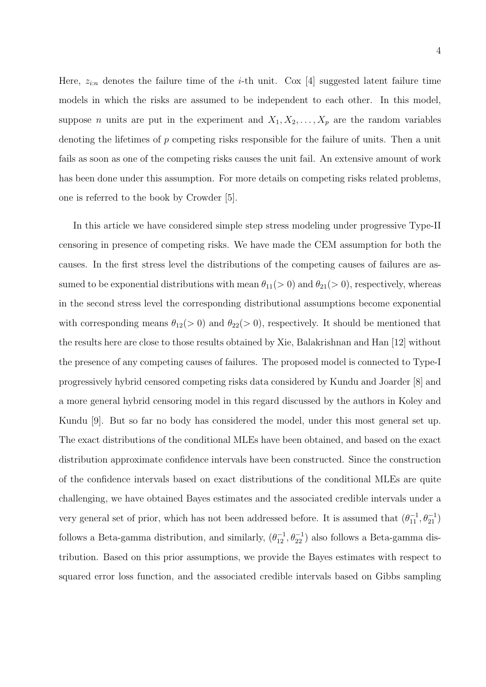Here,  $z_{i:n}$  denotes the failure time of the *i*-th unit. Cox [4] suggested latent failure time models in which the risks are assumed to be independent to each other. In this model, suppose *n* units are put in the experiment and  $X_1, X_2, \ldots, X_p$  are the random variables denoting the lifetimes of p competing risks responsible for the failure of units. Then a unit fails as soon as one of the competing risks causes the unit fail. An extensive amount of work has been done under this assumption. For more details on competing risks related problems, one is referred to the book by Crowder [5].

In this article we have considered simple step stress modeling under progressive Type-II censoring in presence of competing risks. We have made the CEM assumption for both the causes. In the first stress level the distributions of the competing causes of failures are assumed to be exponential distributions with mean  $\theta_{11}(> 0)$  and  $\theta_{21}(> 0)$ , respectively, whereas in the second stress level the corresponding distributional assumptions become exponential with corresponding means  $\theta_{12}(> 0)$  and  $\theta_{22}(> 0)$ , respectively. It should be mentioned that the results here are close to those results obtained by Xie, Balakrishnan and Han [12] without the presence of any competing causes of failures. The proposed model is connected to Type-I progressively hybrid censored competing risks data considered by Kundu and Joarder [8] and a more general hybrid censoring model in this regard discussed by the authors in Koley and Kundu [9]. But so far no body has considered the model, under this most general set up. The exact distributions of the conditional MLEs have been obtained, and based on the exact distribution approximate confidence intervals have been constructed. Since the construction of the confidence intervals based on exact distributions of the conditional MLEs are quite challenging, we have obtained Bayes estimates and the associated credible intervals under a very general set of prior, which has not been addressed before. It is assumed that  $(\theta_{11}^{-1}, \theta_{21}^{-1})$ follows a Beta-gamma distribution, and similarly,  $(\theta_{12}^{-1}, \theta_{22}^{-1})$  also follows a Beta-gamma distribution. Based on this prior assumptions, we provide the Bayes estimates with respect to squared error loss function, and the associated credible intervals based on Gibbs sampling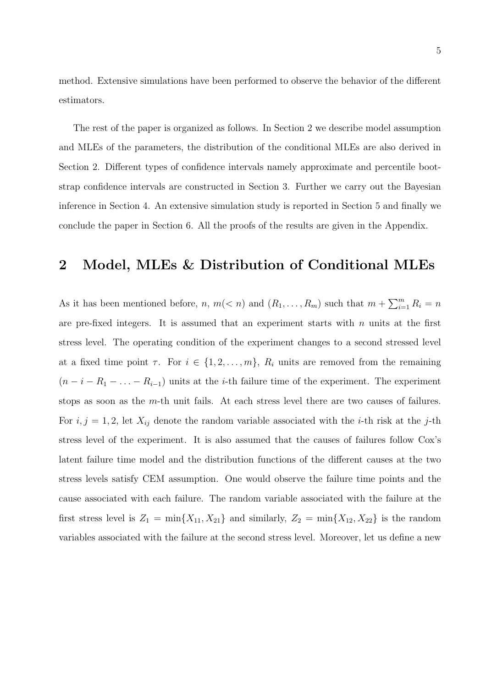method. Extensive simulations have been performed to observe the behavior of the different estimators.

The rest of the paper is organized as follows. In Section 2 we describe model assumption and MLEs of the parameters, the distribution of the conditional MLEs are also derived in Section 2. Different types of confidence intervals namely approximate and percentile bootstrap confidence intervals are constructed in Section 3. Further we carry out the Bayesian inference in Section 4. An extensive simulation study is reported in Section 5 and finally we conclude the paper in Section 6. All the proofs of the results are given in the Appendix.

## 2 Model, MLEs & Distribution of Conditional MLEs

As it has been mentioned before, n,  $m(< n)$  and  $(R_1, \ldots, R_m)$  such that  $m + \sum_{i=1}^{m} R_i = n$ are pre-fixed integers. It is assumed that an experiment starts with  $n$  units at the first stress level. The operating condition of the experiment changes to a second stressed level at a fixed time point  $\tau$ . For  $i \in \{1, 2, ..., m\}$ ,  $R_i$  units are removed from the remaining  $(n - i - R_1 - \ldots - R_{i-1})$  units at the *i*-th failure time of the experiment. The experiment stops as soon as the  $m$ -th unit fails. At each stress level there are two causes of failures. For  $i, j = 1, 2$ , let  $X_{ij}$  denote the random variable associated with the *i*-th risk at the *j*-th stress level of the experiment. It is also assumed that the causes of failures follow Cox's latent failure time model and the distribution functions of the different causes at the two stress levels satisfy CEM assumption. One would observe the failure time points and the cause associated with each failure. The random variable associated with the failure at the first stress level is  $Z_1 = \min\{X_{11}, X_{21}\}\$  and similarly,  $Z_2 = \min\{X_{12}, X_{22}\}\$  is the random variables associated with the failure at the second stress level. Moreover, let us define a new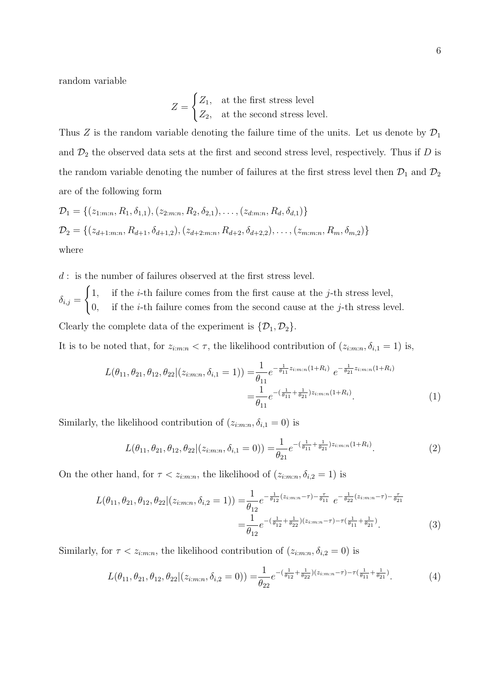random variable

$$
Z = \begin{cases} Z_1, & \text{at the first stress level} \\ Z_2, & \text{at the second stress level.} \end{cases}
$$

Thus Z is the random variable denoting the failure time of the units. Let us denote by  $\mathcal{D}_1$ and  $\mathcal{D}_2$  the observed data sets at the first and second stress level, respectively. Thus if  $D$  is the random variable denoting the number of failures at the first stress level then  $\mathcal{D}_1$  and  $\mathcal{D}_2$ are of the following form

$$
\mathcal{D}_1 = \{ (z_{1:m:n}, R_1, \delta_{1,1}), (z_{2:m:n}, R_2, \delta_{2,1}), \dots, (z_{d:m:n}, R_d, \delta_{d,1}) \}
$$
  
\n
$$
\mathcal{D}_2 = \{ (z_{d+1:m:n}, R_{d+1}, \delta_{d+1,2}), (z_{d+2:m:n}, R_{d+2}, \delta_{d+2,2}), \dots, (z_{m:m:n}, R_m, \delta_{m,2}) \}
$$
  
\nwhere

 $d$ : is the number of failures observed at the first stress level.

 $\delta_{i,j} =$  $\sqrt{ }$ 1, if the *i*-th failure comes from the first cause at the *j*-th stress level, 0, if the *i*-th failure comes from the second cause at the *j*-th stress level.

Clearly the complete data of the experiment is  $\{\mathcal{D}_1, \mathcal{D}_2\}.$ 

It is to be noted that, for  $z_{i:m:n} < \tau$ , the likelihood contribution of  $(z_{i:m:n}, \delta_{i,1} = 1)$  is,

$$
L(\theta_{11}, \theta_{21}, \theta_{12}, \theta_{22} | (z_{i:m:n}, \delta_{i,1} = 1)) = \frac{1}{\theta_{11}} e^{-\frac{1}{\theta_{11}} z_{i:m:n}(1 + R_i)} e^{-\frac{1}{\theta_{21}} z_{i:m:n}(1 + R_i)}
$$
  
= 
$$
\frac{1}{\theta_{11}} e^{-\left(\frac{1}{\theta_{11}} + \frac{1}{\theta_{21}}\right) z_{i:m:n}(1 + R_i)}.
$$
 (1)

Similarly, the likelihood contribution of  $(z_{i:m:n}, \delta_{i,1} = 0)$  is

$$
L(\theta_{11}, \theta_{21}, \theta_{12}, \theta_{22} | (z_{i:m:n}, \delta_{i,1} = 0)) = \frac{1}{\theta_{21}} e^{-(\frac{1}{\theta_{11}} + \frac{1}{\theta_{21}})z_{i:m:n}(1 + R_i)}.
$$
 (2)

On the other hand, for  $\tau < z_{i:m:n}$ , the likelihood of  $(z_{i:m:n}, \delta_{i,2} = 1)$  is

$$
L(\theta_{11}, \theta_{21}, \theta_{12}, \theta_{22} | (z_{i:m:n}, \delta_{i,2} = 1)) = \frac{1}{\theta_{12}} e^{-\frac{1}{\theta_{12}}(z_{i:m:n} - \tau) - \frac{\tau}{\theta_{11}}} e^{-\frac{1}{\theta_{22}}(z_{i:m:n} - \tau) - \frac{\tau}{\theta_{21}}} = \frac{1}{\theta_{12}} e^{-\left(\frac{1}{\theta_{12}} + \frac{1}{\theta_{22}}\right)(z_{i:m:n} - \tau) - \tau\left(\frac{1}{\theta_{11}} + \frac{1}{\theta_{21}}\right)}.
$$
(3)

Similarly, for  $\tau < z_{i:m:n}$ , the likelihood contribution of  $(z_{i:m:n}, \delta_{i,2} = 0)$  is

$$
L(\theta_{11}, \theta_{21}, \theta_{12}, \theta_{22} | (z_{i:m:n}, \delta_{i,2} = 0)) = \frac{1}{\theta_{22}} e^{-(\frac{1}{\theta_{12}} + \frac{1}{\theta_{22}})(z_{i:m:n} - \tau) - \tau(\frac{1}{\theta_{11}} + \frac{1}{\theta_{21}})}.
$$
(4)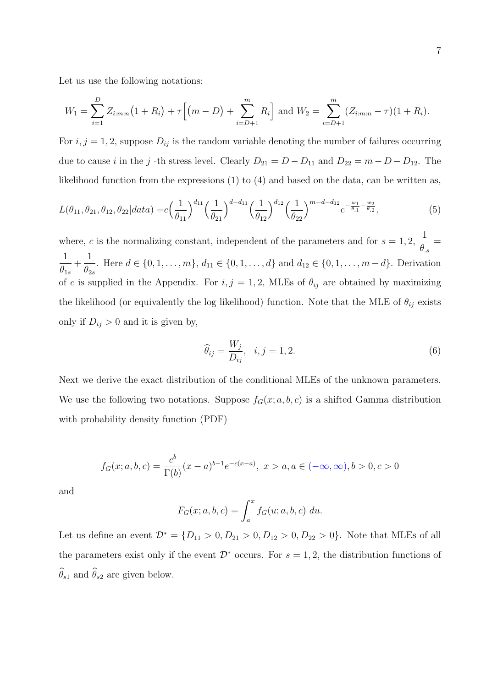Let us use the following notations:

$$
W_1 = \sum_{i=1}^{D} Z_{i:m:n} (1 + R_i) + \tau \left[ (m - D) + \sum_{i=D+1}^{m} R_i \right] \text{ and } W_2 = \sum_{i=D+1}^{m} (Z_{i:m:n} - \tau)(1 + R_i).
$$

For  $i, j = 1, 2$ , suppose  $D_{ij}$  is the random variable denoting the number of failures occurring due to cause i in the j -th stress level. Clearly  $D_{21} = D - D_{11}$  and  $D_{22} = m - D - D_{12}$ . The likelihood function from the expressions  $(1)$  to  $(4)$  and based on the data, can be written as,

$$
L(\theta_{11}, \theta_{21}, \theta_{12}, \theta_{22} | data) = c \left(\frac{1}{\theta_{11}}\right)^{d_{11}} \left(\frac{1}{\theta_{21}}\right)^{d - d_{11}} \left(\frac{1}{\theta_{12}}\right)^{d_{12}} \left(\frac{1}{\theta_{22}}\right)^{m - d - d_{12}} e^{-\frac{w_1}{\theta_{11}} - \frac{w_2}{\theta_{22}}},
$$
\n<sup>(5)</sup>

where, c is the normalizing constant, independent of the parameters and for  $s = 1, 2$ , 1  $\theta_{.s}$ = 1  $\theta_{1s}$  $+$ 1  $\theta_{2s}$ . Here  $d \in \{0, 1, \ldots, m\}, d_{11} \in \{0, 1, \ldots, d\}$  and  $d_{12} \in \{0, 1, \ldots, m-d\}$ . Derivation of c is supplied in the Appendix. For  $i, j = 1, 2$ , MLEs of  $\theta_{ij}$  are obtained by maximizing the likelihood (or equivalently the log likelihood) function. Note that the MLE of  $\theta_{ij}$  exists only if  $D_{ij} > 0$  and it is given by,

$$
\widehat{\theta}_{ij} = \frac{W_j}{D_{ij}}, \quad i, j = 1, 2. \tag{6}
$$

Next we derive the exact distribution of the conditional MLEs of the unknown parameters. We use the following two notations. Suppose  $f_G(x; a, b, c)$  is a shifted Gamma distribution with probability density function (PDF)

$$
f_G(x;a,b,c) = \frac{c^b}{\Gamma(b)}(x-a)^{b-1}e^{-c(x-a)}, \ x > a, a \in (-\infty, \infty), b > 0, c > 0
$$

and

$$
F_G(x;a,b,c) = \int_a^x f_G(u;a,b,c) \ du.
$$

Let us define an event  $\mathcal{D}^* = \{D_{11} > 0, D_{21} > 0, D_{12} > 0, D_{22} > 0\}$ . Note that MLEs of all the parameters exist only if the event  $\mathcal{D}^*$  occurs. For  $s = 1, 2$ , the distribution functions of  $\widehat{\theta}_{s1}$  and  $\widehat{\theta}_{s2}$  are given below.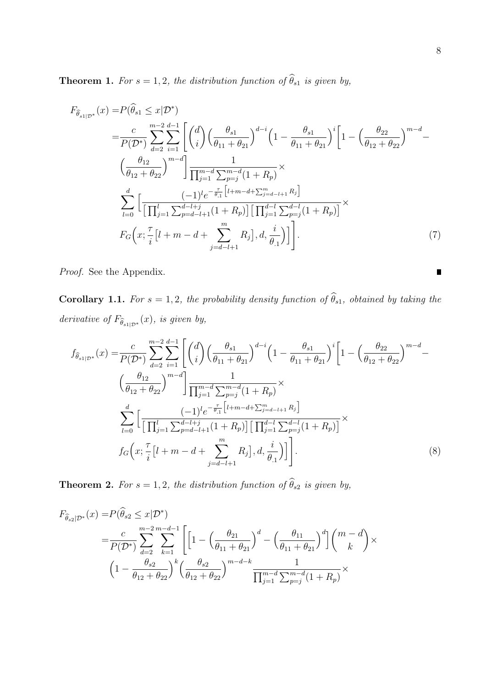**Theorem 1.** *For*  $s = 1, 2$ *, the distribution function of*  $\widehat{\theta}_{s1}$  *is given by,* 

$$
F_{\widehat{\theta}_{s1|D^*}}(x) = P(\widehat{\theta}_{s1} \leq x | \mathcal{D}^*)
$$
  
\n
$$
= \frac{c}{P(\mathcal{D}^*)} \sum_{d=2}^{m-2} \sum_{i=1}^{d-1} \left[ \binom{d}{i} \left( \frac{\theta_{s1}}{\theta_{11} + \theta_{21}} \right)^{d-i} \left( 1 - \frac{\theta_{s1}}{\theta_{11} + \theta_{21}} \right)^i \left[ 1 - \left( \frac{\theta_{22}}{\theta_{12} + \theta_{22}} \right)^{m-d} - \left( \frac{\theta_{12}}{\theta_{12} + \theta_{22}} \right)^{m-d} \right] \frac{1}{\prod_{j=1}^{m-1} \sum_{p=j}^{m-d} (1 + R_p)} \times
$$
  
\n
$$
\sum_{l=0}^d \left[ \frac{(-1)^l e^{-\frac{\tau}{\theta_{11}}} [l+m-d + \sum_{j=d-l+1}^m R_j]}{\prod_{j=1}^d \sum_{p=d-l+1}^{d-l+1} (1 + R_p) \prod_{j=d-l+1}^m \sum_{p=j}^{d-l} (1 + R_p) \right]} \times
$$
  
\n
$$
F_G\left(x; \frac{\tau}{i} [l+m-d + \sum_{j=d-l+1}^m R_j], d, \frac{i}{\theta_1} \right) \bigg]. \tag{7}
$$

*Proof.* See the Appendix.

**Corollary 1.1.** *For*  $s = 1, 2$ *, the probability density function of*  $\widehat{\theta}_{s1}$ *, obtained by taking the derivative of*  $F_{\widehat{\theta}_{s1|\mathcal{D}^*}}(x)$ *, is given by,* 

$$
f_{\hat{\theta}_{s1|\mathcal{D}^*}}(x) = \frac{c}{P(\mathcal{D}^*)} \sum_{d=2}^{m-2} \sum_{i=1}^{d-1} \left[ \binom{d}{i} \left( \frac{\theta_{s1}}{\theta_{11} + \theta_{21}} \right)^{d-i} \left( 1 - \frac{\theta_{s1}}{\theta_{11} + \theta_{21}} \right)^i \left[ 1 - \left( \frac{\theta_{22}}{\theta_{12} + \theta_{22}} \right)^{m-d} - \left( \frac{\theta_{12}}{\theta_{12} + \theta_{22}} \right)^{m-d} \right] \frac{1}{\prod_{j=1}^{m-d} \sum_{p=j}^{m-d} (1 + R_p)} \times \sum_{l=0}^d \left[ \frac{(-1)^l e^{-\frac{\tau}{\theta_{11}}} \left[ l + m - d + \sum_{j=d-l+1}^m R_j \right]}{\left[ \prod_{j=1}^l \sum_{p=d-l+1}^{d-l+j} (1 + R_p) \right] \left[ \prod_{j=1}^{d-l} \sum_{p=j}^{d-l} (1 + R_p) \right]} \times f_G \left( x; \frac{\tau}{i} \left[ l + m - d + \sum_{j=d-l+1}^m R_j \right], d, \frac{i}{\theta_1} \right) \right]. \tag{8}
$$

**Theorem 2.** *For*  $s = 1, 2$ *, the distribution function of*  $\widehat{\theta}_{s2}$  *is given by,* 

$$
F_{\hat{\theta}_{s2}|\mathcal{D}^*}(x) = P(\hat{\theta}_{s2} \le x|\mathcal{D}^*)
$$
  
= 
$$
\frac{c}{P(\mathcal{D}^*)} \sum_{d=2}^{m-2} \sum_{k=1}^{m-d-1} \left[ \left[ 1 - \left( \frac{\theta_{21}}{\theta_{11} + \theta_{21}} \right)^d - \left( \frac{\theta_{11}}{\theta_{11} + \theta_{21}} \right)^d \right] \binom{m-d}{k} \times \left( 1 - \frac{\theta_{s2}}{\theta_{12} + \theta_{22}} \right)^k \left( \frac{\theta_{s2}}{\theta_{12} + \theta_{22}} \right)^{m-d-k} \frac{1}{\prod_{j=1}^{m-d} \sum_{p=j}^{m-d} (1 + R_p)} \times \right.
$$

 $\blacksquare$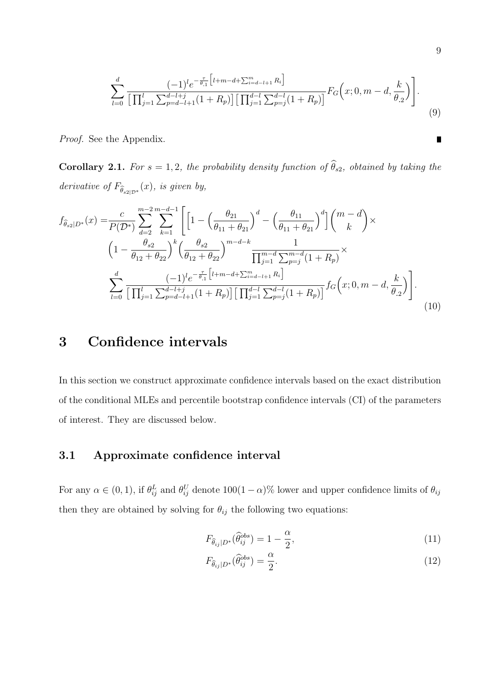$$
\sum_{l=0}^{d} \frac{(-1)^{l} e^{-\frac{\tau}{\theta_{.1}} \left[ l+m-d+\sum_{i=d-l+1}^{m} R_{i} \right]}}{\left[ \prod_{j=1}^{l} \sum_{p=d-l+1}^{d-l+j} (1+R_{p}) \right] \left[ \prod_{j=1}^{d-l} \sum_{p=j}^{d-l} (1+R_{p}) \right]} F_{G}\left(x; 0, m-d, \frac{k}{\theta_{.2}}\right) \Bigg].
$$
\n(9)

*Proof.* See the Appendix.

**Corollary 2.1.** *For*  $s = 1, 2$ *, the probability density function of*  $\widehat{\theta}_{s2}$ *, obtained by taking the derivative of*  $F_{\widehat{\theta}_{s2|\mathcal{D}^*}}(x)$ *, is given by,* 

$$
f_{\hat{\theta}_{s2}|D^*}(x) = \frac{c}{P(\mathcal{D}^*)} \sum_{d=2}^{m-2} \sum_{k=1}^{m-d-1} \left[ \left[ 1 - \left( \frac{\theta_{21}}{\theta_{11} + \theta_{21}} \right)^d - \left( \frac{\theta_{11}}{\theta_{11} + \theta_{21}} \right)^d \right] \binom{m-d}{k} \times \right. \\
\left. \left( 1 - \frac{\theta_{s2}}{\theta_{12} + \theta_{22}} \right)^k \left( \frac{\theta_{s2}}{\theta_{12} + \theta_{22}} \right)^{m-d-k} \frac{1}{\prod_{j=1}^{m-d} \sum_{p=j}^{m-d} (1 + R_p)} \times \right. \\
\left. \sum_{l=0}^d \frac{(-1)^l e^{-\frac{\tau}{\theta_{11}}} \left[ l + m - d + \sum_{i=d-l+1}^m R_i \right]}{\left[ \prod_{j=1}^l \sum_{p=d-l+1}^{d-l+1} (1 + R_p) \right] \left[ \prod_{j=1}^{d-l} \sum_{p=j}^{d-l} (1 + R_p) \right]} f_G(x; 0, m-d, \frac{k}{\theta_{.2}}) \right].\n\tag{10}
$$

# 3 Confidence intervals

In this section we construct approximate confidence intervals based on the exact distribution of the conditional MLEs and percentile bootstrap confidence intervals (CI) of the parameters of interest. They are discussed below.

### 3.1 Approximate confidence interval

For any  $\alpha \in (0,1)$ , if  $\theta_{ij}^L$  and  $\theta_{ij}^U$  denote  $100(1-\alpha)\%$  lower and upper confidence limits of  $\theta_{ij}$ then they are obtained by solving for  $\theta_{ij}$  the following two equations:

$$
F_{\widehat{\theta}_{ij}|D^*}(\widehat{\theta}_{ij}^{obs}) = 1 - \frac{\alpha}{2},\tag{11}
$$

$$
F_{\hat{\theta}_{ij}|D^*}(\hat{\theta}_{ij}^{obs}) = \frac{\alpha}{2}.
$$
\n(12)

 $\blacksquare$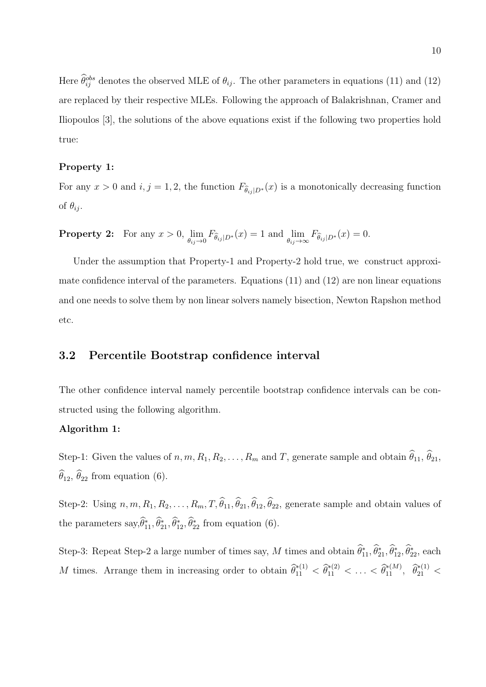Here  $\hat{\theta}_{ij}^{obs}$  denotes the observed MLE of  $\theta_{ij}$ . The other parameters in equations (11) and (12) are replaced by their respective MLEs. Following the approach of Balakrishnan, Cramer and Iliopoulos [3], the solutions of the above equations exist if the following two properties hold true:

#### Property 1:

For any  $x > 0$  and  $i, j = 1, 2$ , the function  $F_{\hat{\theta}_{ij} | D^*}(x)$  is a monotonically decreasing function of  $\theta_{ij}$ .

**Property 2:** For any  $x > 0$ ,  $\lim_{\theta_{ij}\to 0} F_{\widehat{\theta}_{ij}|D^*}(x) = 1$  and  $\lim_{\theta_{ij}\to \infty} F_{\widehat{\theta}_{ij}|D^*}(x) = 0$ .

Under the assumption that Property-1 and Property-2 hold true, we construct approximate confidence interval of the parameters. Equations (11) and (12) are non linear equations and one needs to solve them by non linear solvers namely bisection, Newton Rapshon method etc.

### 3.2 Percentile Bootstrap confidence interval

The other confidence interval namely percentile bootstrap confidence intervals can be constructed using the following algorithm.

#### Algorithm 1:

Step-1: Given the values of  $n, m, R_1, R_2, \ldots, R_m$  and T, generate sample and obtain  $\hat{\theta}_{11}, \hat{\theta}_{21}$ ,  $\widehat{\theta}_{12}$ ,  $\widehat{\theta}_{22}$  from equation (6).

Step-2: Using  $n, m, R_1, R_2, \ldots, R_m, T, \hat{\theta}_{11}, \hat{\theta}_{21}, \hat{\theta}_{12}, \hat{\theta}_{22}$ , generate sample and obtain values of the parameters  $\text{say}, \hat{\theta}_{11}^*, \hat{\theta}_{21}^*, \hat{\theta}_{12}^*, \hat{\theta}_{22}^*$  from equation (6).

Step-3: Repeat Step-2 a large number of times say, M times and obtain  $\hat{\theta}_{11}^*, \hat{\theta}_{21}^*, \hat{\theta}_{12}^*, \hat{\theta}_{22}^*,$  each M times. Arrange them in increasing order to obtain  $\hat{\theta}_{11}^{*(1)} < \hat{\theta}_{11}^{*(2)} < \ldots < \hat{\theta}_{11}^{*(M)}$ ,  $\hat{\theta}_{21}^{*(1)} <$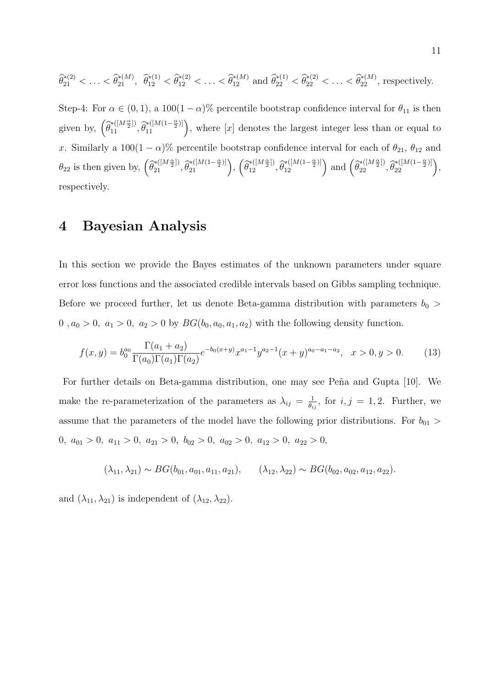$$
\widehat{\theta}_{21}^{*(2)} < \ldots < \widehat{\theta}_{21}^{*(M)}, \quad \widehat{\theta}_{12}^{*(1)} < \widehat{\theta}_{12}^{*(2)} < \ldots < \widehat{\theta}_{12}^{*(M)} \text{ and } \widehat{\theta}_{22}^{*(1)} < \widehat{\theta}_{22}^{*(2)} < \ldots < \widehat{\theta}_{22}^{*(M)}, \text{ respectively.}
$$

Step-4: For  $\alpha \in (0,1)$ , a  $100(1-\alpha)\%$  percentile bootstrap confidence interval for  $\theta_{11}$  is then given by,  $(\hat{\theta}_{11}^{*([M\frac{\alpha}{2}])}, \hat{\theta}_{11}^{*([M(1-\frac{\alpha}{2})]})$ , where [x] denotes the largest integer less than or equal to x. Similarly a 100(1 –  $\alpha$ )% percentile bootstrap confidence interval for each of  $\theta_{21}$ ,  $\theta_{12}$  and  $\theta_{22}$  is then given by,  $\left(\widehat{\theta}_{21}^{*([M\frac{\alpha}{2}])},\widehat{\theta}_{21}^{*([M(1-\frac{\alpha}{2})])}\right), \left(\widehat{\theta}_{12}^{*([M\frac{\alpha}{2}])},\widehat{\theta}_{12}^{*([M(1-\frac{\alpha}{2})])}\right)$  and  $\left(\widehat{\theta}_{22}^{*([M\frac{\alpha}{2}])},\widehat{\theta}_{22}^{*([M(1-\frac{\alpha}{2})])}\right)$ , respectively.

### 4 Bayesian Analysis

In this section we provide the Bayes estimates of the unknown parameters under square error loss functions and the associated credible intervals based on Gibbs sampling technique. Before we proceed further, let us denote Beta-gamma distribution with parameters  $b_0$  > 0,  $a_0 > 0$ ,  $a_1 > 0$ ,  $a_2 > 0$  by  $BG(b_0, a_0, a_1, a_2)$  with the following density function.

$$
f(x,y) = b_0^{a_0} \frac{\Gamma(a_1 + a_2)}{\Gamma(a_0)\Gamma(a_1)\Gamma(a_2)} e^{-b_0(x+y)} x^{a_1-1} y^{a_2-1} (x+y)^{a_0-a_1-a_2}, \quad x > 0, y > 0.
$$
 (13)

For further details on Beta-gamma distribution, one may see Peña and Gupta [10]. We make the re-parameterization of the parameters as  $\lambda_{ij} = \frac{1}{\theta_i}$  $\frac{1}{\theta_{ij}}$ , for  $i, j = 1, 2$ . Further, we assume that the parameters of the model have the following prior distributions. For  $b_{01}$  > 0,  $a_{01} > 0$ ,  $a_{11} > 0$ ,  $a_{21} > 0$ ,  $b_{02} > 0$ ,  $a_{02} > 0$ ,  $a_{12} > 0$ ,  $a_{22} > 0$ ,

$$
(\lambda_{11}, \lambda_{21}) \sim BG(b_{01}, a_{01}, a_{11}, a_{21}), \quad (\lambda_{12}, \lambda_{22}) \sim BG(b_{02}, a_{02}, a_{12}, a_{22}).
$$

and  $(\lambda_{11}, \lambda_{21})$  is independent of  $(\lambda_{12}, \lambda_{22})$ .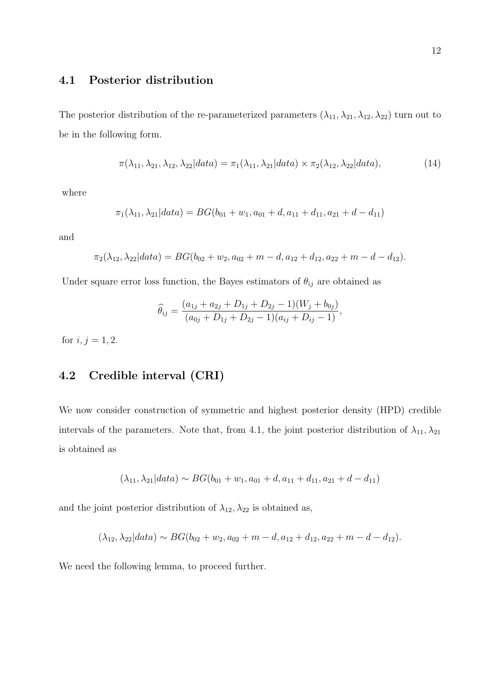### 4.1 Posterior distribution

The posterior distribution of the re-parameterized parameters  $(\lambda_{11}, \lambda_{21}, \lambda_{12}, \lambda_{22})$  turn out to be in the following form.

$$
\pi(\lambda_{11}, \lambda_{21}, \lambda_{12}, \lambda_{22} | data) = \pi_1(\lambda_{11}, \lambda_{21} | data) \times \pi_2(\lambda_{12}, \lambda_{22} | data), \tag{14}
$$

where

$$
\pi_1(\lambda_{11}, \lambda_{21} | data) = BG(b_{01} + w_1, a_{01} + d, a_{11} + d_{11}, a_{21} + d - d_{11})
$$

and

$$
\pi_2(\lambda_{12}, \lambda_{22}|data) = BG(b_{02}+w_2, a_{02}+m-d, a_{12}+d_{12}, a_{22}+m-d-d_{12}).
$$

Under square error loss function, the Bayes estimators of  $\theta_{ij}$  are obtained as

$$
\widehat{\theta}_{ij} = \frac{(a_{1j} + a_{2j} + D_{1j} + D_{2j} - 1)(W_j + b_{0j})}{(a_{0j} + D_{1j} + D_{2j} - 1)(a_{ij} + D_{ij} - 1)},
$$

for  $i, j = 1, 2$ .

### 4.2 Credible interval (CRI)

We now consider construction of symmetric and highest posterior density (HPD) credible intervals of the parameters. Note that, from 4.1, the joint posterior distribution of  $\lambda_{11}, \lambda_{21}$ is obtained as

$$
(\lambda_{11}, \lambda_{21}|data) \sim BG(b_{01} + w_1, a_{01} + d, a_{11} + d_{11}, a_{21} + d - d_{11})
$$

and the joint posterior distribution of  $\lambda_{12},\lambda_{22}$  is obtained as,

$$
(\lambda_{12}, \lambda_{22} | data) \sim BG(b_{02} + w_2, a_{02} + m - d, a_{12} + d_{12}, a_{22} + m - d - d_{12}).
$$

We need the following lemma, to proceed further.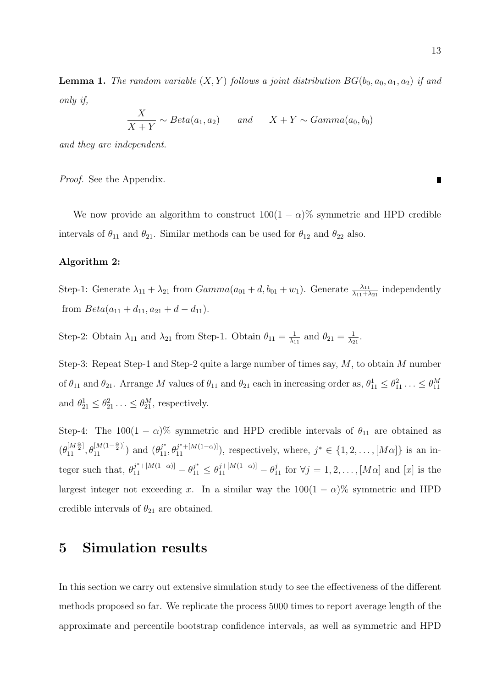$\boldsymbol{X}$  $\frac{X}{X+Y} \sim Beta(a_1, a_2)$  *and*  $X+Y \sim Gamma(a_0, b_0)$ 

*and they are independent.*

*Proof.* See the Appendix.

We now provide an algorithm to construct  $100(1 - \alpha)\%$  symmetric and HPD credible intervals of  $\theta_{11}$  and  $\theta_{21}$ . Similar methods can be used for  $\theta_{12}$  and  $\theta_{22}$  also.

#### Algorithm 2:

Step-1: Generate  $\lambda_{11} + \lambda_{21}$  from  $Gamma(a_{01} + d, b_{01} + w_1)$ . Generate  $\frac{\lambda_{11}}{\lambda_{11} + \lambda_{21}}$  independently from  $Beta(a_{11} + d_{11}, a_{21} + d - d_{11}).$ 

Step-2: Obtain  $\lambda_{11}$  and  $\lambda_{21}$  from Step-1. Obtain  $\theta_{11} = \frac{1}{\lambda_1}$  $\frac{1}{\lambda_{11}}$  and  $\theta_{21} = \frac{1}{\lambda_2}$  $\frac{1}{\lambda_{21}}$ .

Step-3: Repeat Step-1 and Step-2 quite a large number of times say, M, to obtain M number of  $\theta_{11}$  and  $\theta_{21}$ . Arrange M values of  $\theta_{11}$  and  $\theta_{21}$  each in increasing order as,  $\theta_{11}^1 \leq \theta_{11}^2 \ldots \leq \theta_{11}^M$ and  $\theta_{21}^1 \leq \theta_{21}^2 \dots \leq \theta_{21}^M$ , respectively.

Step-4: The  $100(1 - \alpha)$ % symmetric and HPD credible intervals of  $\theta_{11}$  are obtained as  $(\theta_{11}^{[M\frac{\alpha}{2}]}, \theta_{11}^{[M(1-\frac{\alpha}{2})]})$  and  $(\theta_{11}^{j^*}, \theta_{11}^{j^{*}+[M(1-\alpha)]})$ , respectively, where,  $j^* \in \{1, 2, ..., [M\alpha]\}$  is an integer such that,  $\theta_{11}^{j^* + [M(1-\alpha)]} - \theta_{11}^{j^*} \leq \theta_{11}^{j + [M(1-\alpha)]} - \theta_{11}^j$  for  $\forall j = 1, 2, ..., [M\alpha]$  and  $[x]$  is the largest integer not exceeding x. In a similar way the  $100(1 - \alpha)\%$  symmetric and HPD credible intervals of  $\theta_{21}$  are obtained.

### 5 Simulation results

In this section we carry out extensive simulation study to see the effectiveness of the different methods proposed so far. We replicate the process 5000 times to report average length of the approximate and percentile bootstrap confidence intervals, as well as symmetric and HPD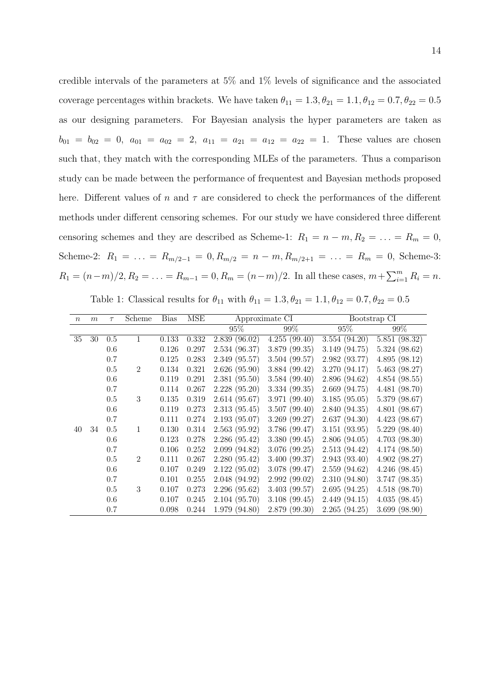credible intervals of the parameters at 5% and 1% levels of significance and the associated coverage percentages within brackets. We have taken  $\theta_{11} = 1.3, \theta_{21} = 1.1, \theta_{12} = 0.7, \theta_{22} = 0.5$ as our designing parameters. For Bayesian analysis the hyper parameters are taken as  $b_{01} = b_{02} = 0$ ,  $a_{01} = a_{02} = 2$ ,  $a_{11} = a_{21} = a_{12} = a_{22} = 1$ . These values are chosen such that, they match with the corresponding MLEs of the parameters. Thus a comparison study can be made between the performance of frequentest and Bayesian methods proposed here. Different values of n and  $\tau$  are considered to check the performances of the different methods under different censoring schemes. For our study we have considered three different censoring schemes and they are described as Scheme-1:  $R_1 = n - m$ ,  $R_2 = \ldots = R_m = 0$ , Scheme-2:  $R_1 = \ldots = R_{m/2-1} = 0, R_{m/2} = n - m, R_{m/2+1} = \ldots = R_m = 0$ , Scheme-3:  $R_1 = (n-m)/2, R_2 = \ldots = R_{m-1} = 0, R_m = (n-m)/2.$  In all these cases,  $m + \sum_{i=1}^{m} R_i = n$ .

| Table 1: Classical results for $\theta_{11}$ with $\theta_{11} = 1.3, \theta_{21} = 1.1, \theta_{12} = 0.7, \theta_{22} = 0.5$ |  |  |  |
|--------------------------------------------------------------------------------------------------------------------------------|--|--|--|
|--------------------------------------------------------------------------------------------------------------------------------|--|--|--|

| $\,n$ | m  | $\tau$ | Scheme         | <b>Bias</b> | MSE   | Approximate CI |               |               | Bootstrap CI  |
|-------|----|--------|----------------|-------------|-------|----------------|---------------|---------------|---------------|
|       |    |        |                |             |       | $95\%$         | 99%           | 95%           | 99%           |
| 35    | 30 | 0.5    | 1              | 0.133       | 0.332 | 2.839 (96.02)  | 4.255(99.40)  | 3.554(94.20)  | 5.851(98.32)  |
|       |    | 0.6    |                | 0.126       | 0.297 | 2.534 (96.37)  | 3.879 (99.35) | 3.149(94.75)  | 5.324(98.62)  |
|       |    | 0.7    |                | 0.125       | 0.283 | 2.349 (95.57)  | 3.504(99.57)  | 2.982 (93.77) | 4.895(98.12)  |
|       |    | 0.5    | $\overline{2}$ | 0.134       | 0.321 | 2.626(95.90)   | 3.884 (99.42) | 3.270 (94.17) | 5.463(98.27)  |
|       |    | 0.6    |                | 0.119       | 0.291 | 2.381(95.50)   | 3.584(99.40)  | 2.896 (94.62) | 4.854(98.55)  |
|       |    | 0.7    |                | 0.114       | 0.267 | 2.228(95.20)   | 3.334(99.35)  | 2.669(94.75)  | 4.481 (98.70) |
|       |    | 0.5    | 3              | 0.135       | 0.319 | 2.614(95.67)   | 3.971(99.40)  | 3.185(95.05)  | 5.379 (98.67) |
|       |    | 0.6    |                | 0.119       | 0.273 | 2.313 (95.45)  | 3.507(99.40)  | 2.840(94.35)  | 4.801(98.67)  |
|       |    | 0.7    |                | 0.111       | 0.274 | 2.193 (95.07)  | 3.269(99.27)  | 2.637(94.30)  | 4.423(98.67)  |
| 40    | 34 | 0.5    | 1              | 0.130       | 0.314 | 2.563(95.92)   | 3.786 (99.47) | 3.151(93.95)  | 5.229(98.40)  |
|       |    | 0.6    |                | 0.123       | 0.278 | 2.286 (95.42)  | 3.380 (99.45) | 2.806(94.05)  | 4.703(98.30)  |
|       |    | 0.7    |                | 0.106       | 0.252 | 2.099 (94.82)  | 3.076 (99.25) | 2.513(94.42)  | 4.174(98.50)  |
|       |    | 0.5    | $\overline{2}$ | 0.111       | 0.267 | 2.280(95.42)   | 3.400 (99.37) | 2.943(93.40)  | 4.902(98.27)  |
|       |    | 0.6    |                | 0.107       | 0.249 | 2.122 (95.02)  | 3.078 (99.47) | 2.559(94.62)  | 4.246(98.45)  |
|       |    | 0.7    |                | 0.101       | 0.255 | 2.048 (94.92)  | 2.992(99.02)  | 2.310(94.80)  | 3.747(98.35)  |
|       |    | 0.5    | 3              | 0.107       | 0.273 | 2.296 (95.62)  | 3.403(99.57)  | 2.695(94.25)  | 4.518(98.70)  |
|       |    | 0.6    |                | 0.107       | 0.245 | 2.104 (95.70)  | 3.108(99.45)  | 2.449(94.15)  | 4.035(98.45)  |
|       |    | 0.7    |                | 0.098       | 0.244 | 1.979 (94.80)  | 2.879 (99.30) | 2.265(94.25)  | 3.699(98.90)  |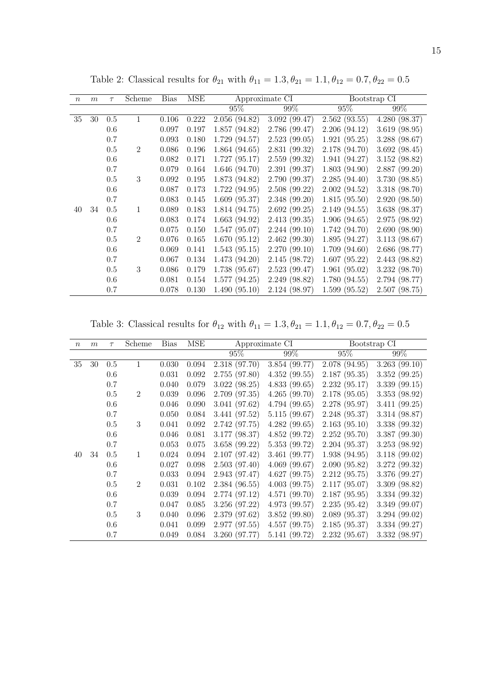| $\boldsymbol{n}$ | m  | $\tau$ | Scheme         | <b>Bias</b> | <b>MSE</b> |               | Approximate CI |               | Bootstrap CI  |
|------------------|----|--------|----------------|-------------|------------|---------------|----------------|---------------|---------------|
|                  |    |        |                |             |            | 95%           | 99%            | 95%           | 99%           |
| 35               | 30 | 0.5    | 1              | 0.106       | 0.222      | 2.056(94.82)  | 3.092(99.47)   | 2.562(93.55)  | 4.280(98.37)  |
|                  |    | 0.6    |                | 0.097       | 0.197      | 1.857(94.82)  | 2.786 (99.47)  | 2.206(94.12)  | 3.619(98.95)  |
|                  |    | 0.7    |                | 0.093       | 0.180      | 1.729 (94.57) | 2.523(99.05)   | 1.921(95.25)  | 3.288(98.67)  |
|                  |    | 0.5    | $\overline{2}$ | 0.086       | 0.196      | 1.864(94.65)  | 2.831(99.32)   | 2.178 (94.70) | 3.692(98.45)  |
|                  |    | 0.6    |                | 0.082       | 0.171      | 1.727(95.17)  | 2.559(99.32)   | 1.941(94.27)  | 3.152(98.82)  |
|                  |    | 0.7    |                | 0.079       | 0.164      | 1.646(94.70)  | 2.391(99.37)   | 1.803(94.90)  | 2.887(99.20)  |
|                  |    | 0.5    | 3              | 0.092       | 0.195      | 1.873 (94.82) | 2.790 (99.37)  | 2.285(94.40)  | 3.730 (98.85) |
|                  |    | 0.6    |                | 0.087       | 0.173      | 1.722(94.95)  | 2.508(99.22)   | 2.002(94.52)  | 3.318 (98.70) |
|                  |    | 0.7    |                | 0.083       | $0.145\,$  | 1.609(95.37)  | 2.348(99.20)   | 1.815(95.50)  | 2.920(98.50)  |
| 40               | 34 | 0.5    | 1              | 0.089       | 0.183      | 1.814 (94.75) | 2.692(99.25)   | 2.149(94.55)  | 3.638 (98.37) |
|                  |    | 0.6    |                | 0.083       | 0.174      | 1.663(94.92)  | 2.413(99.35)   | 1.906(94.65)  | 2.975 (98.92) |
|                  |    | 0.7    |                | 0.075       | 0.150      | 1.547(95.07)  | 2.244(99.10)   | 1.742(94.70)  | 2.690(98.90)  |
|                  |    | 0.5    | $\overline{2}$ | 0.076       | 0.165      | 1.670(95.12)  | 2.462(99.30)   | 1.895(94.27)  | 3.113(98.67)  |
|                  |    | 0.6    |                | 0.069       | 0.141      | 1.543(95.15)  | 2.270(99.10)   | 1.709(94.60)  | 2.686 (98.77) |
|                  |    | 0.7    |                | 0.067       | 0.134      | 1.473(94.20)  | 2.145(98.72)   | 1.607(95.22)  | 2.443 (98.82) |
|                  |    | 0.5    | 3              | 0.086       | 0.179      | 1.738 (95.67) | 2.523(99.47)   | 1.961(95.02)  | 3.232 (98.70) |
|                  |    | 0.6    |                | 0.081       | 0.154      | 1.577(94.25)  | 2.249 (98.82)  | 1.780(94.55)  | 2.794 (98.77) |
|                  |    | 0.7    |                | 0.078       | 0.130      | 1.490(95.10)  | 2.124 (98.97)  | 1.599(95.52)  | 2.507(98.75)  |

Table 2: Classical results for  $\theta_{21}$  with  $\theta_{11} = 1.3, \theta_{21} = 1.1, \theta_{12} = 0.7, \theta_{22} = 0.5$ 

Table 3: Classical results for  $\theta_{12}$  with  $\theta_{11} = 1.3, \theta_{21} = 1.1, \theta_{12} = 0.7, \theta_{22} = 0.5$ 

| $\it{n}$ | m  | $\tau$ | Scheme         | <b>Bias</b> | <b>MSE</b> |               | Approximate CI |               | Bootstrap CI  |
|----------|----|--------|----------------|-------------|------------|---------------|----------------|---------------|---------------|
|          |    |        |                |             |            | 95%           | 99%            | 95%           | 99%           |
| 35       | 30 | 0.5    | 1              | 0.030       | 0.094      | 2.318 (97.70) | 3.854 (99.77)  | 2.078(94.95)  | 3.263(99.10)  |
|          |    | 0.6    |                | 0.031       | 0.092      | 2.755 (97.80) | 4.352(99.55)   | 2.187(95.35)  | 3.352 (99.25) |
|          |    | 0.7    |                | 0.040       | 0.079      | 3.022(98.25)  | 4.833(99.65)   | 2.232(95.17)  | 3.339 (99.15) |
|          |    | 0.5    | $\overline{2}$ | 0.039       | 0.096      | 2.709(97.35)  | 4.265(99.70)   | 2.178(95.05)  | 3.353(98.92)  |
|          |    | 0.6    |                | 0.046       | 0.090      | 3.041 (97.62) | 4.794(99.65)   | 2.278 (95.97) | 3.411(99.25)  |
|          |    | 0.7    |                | 0.050       | 0.084      | 3.441 (97.52) | 5.115(99.67)   | 2.248 (95.37) | 3.314 (98.87) |
|          |    | 0.5    | 3              | 0.041       | 0.092      | 2.742 (97.75) | 4.282(99.65)   | 2.163(95.10)  | 3.338 (99.32) |
|          |    | 0.6    |                | 0.046       | 0.081      | 3.177 (98.37) | 4.852(99.72)   | 2.252(95.70)  | 3.387(99.30)  |
|          |    | 0.7    |                | 0.053       | 0.075      | 3.658 (99.22) | 5.353(99.72)   | 2.204(95.37)  | 3.253(98.92)  |
| 40       | 34 | 0.5    | 1              | 0.024       | 0.094      | 2.107(97.42)  | 3.461 (99.77)  | 1.938(94.95)  | 3.118(99.02)  |
|          |    | 0.6    |                | 0.027       | 0.098      | 2.503(97.40)  | 4.069(99.67)   | 2.090(95.82)  | 3.272 (99.32) |
|          |    | 0.7    |                | 0.033       | 0.094      | 2.943 (97.47) | 4.627(99.75)   | 2.212(95.75)  | 3.376 (99.27) |
|          |    | 0.5    | $\overline{2}$ | 0.031       | 0.102      | 2.384 (96.55) | 4.003(99.75)   | 2.117(95.07)  | 3.309(98.82)  |
|          |    | 0.6    |                | 0.039       | 0.094      | 2.774 (97.12) | 4.571(99.70)   | 2.187(95.95)  | 3.334 (99.32) |
|          |    | 0.7    |                | 0.047       | 0.085      | 3.256 (97.22) | 4.973 (99.57)  | 2.235(95.42)  | 3.349 (99.07) |
|          |    | 0.5    | 3              | 0.040       | 0.096      | 2.379 (97.62) | 3.852(99.80)   | 2.089(95.37)  | 3.294(99.02)  |
|          |    | 0.6    |                | 0.041       | 0.099      | 2.977 (97.55) | 4.557(99.75)   | 2.185(95.37)  | 3.334(99.27)  |
|          |    | 0.7    |                | 0.049       | 0.084      | 3.260 (97.77) | 5.141 (99.72)  | 2.232 (95.67) | 3.332 (98.97) |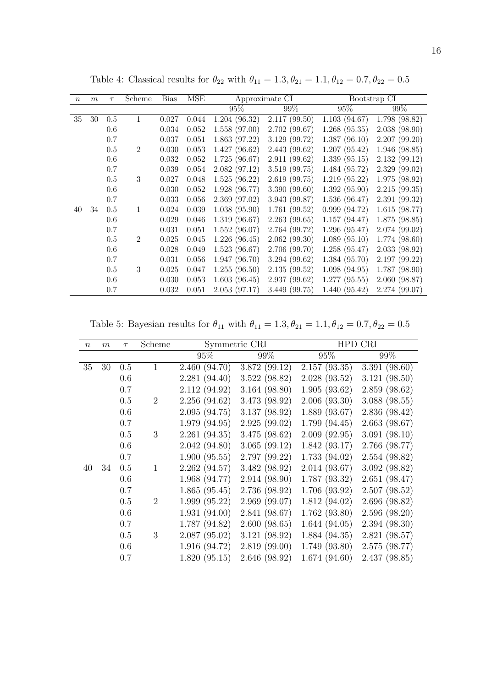| $\boldsymbol{n}$ | m  | $\tau$ | Scheme         | <b>Bias</b> | MSE   |               | Approximate CI |              | Bootstrap CI  |
|------------------|----|--------|----------------|-------------|-------|---------------|----------------|--------------|---------------|
|                  |    |        |                |             |       | 95%           | 99%            | 95%          | 99%           |
| 35               | 30 | 0.5    | 1              | 0.027       | 0.044 | 1.204(96.32)  | 2.117(99.50)   | 1.103(94.67) | 1.798 (98.82) |
|                  |    | 0.6    |                | 0.034       | 0.052 | 1.558(97.00)  | 2.702(99.67)   | 1.268(95.35) | 2.038(98.90)  |
|                  |    | 0.7    |                | 0.037       | 0.051 | 1.863(97.22)  | 3.129(99.72)   | 1.387(96.10) | 2.207(99.20)  |
|                  |    | 0.5    | $\overline{2}$ | 0.030       | 0.053 | 1.427(96.62)  | 2.443 (99.62)  | 1.207(95.42) | 1.946(98.85)  |
|                  |    | 0.6    |                | 0.032       | 0.052 | 1.725(96.67)  | 2.911(99.62)   | 1.339(95.15) | 2.132(99.12)  |
|                  |    | 0.7    |                | 0.039       | 0.054 | 2.082(97.12)  | 3.519 (99.75)  | 1.484(95.72) | 2.329(99.02)  |
|                  |    | 0.5    | 3              | 0.027       | 0.048 | 1.525(96.22)  | 2.619(99.75)   | 1.219(95.22) | 1.975(98.92)  |
|                  |    | 0.6    |                | 0.030       | 0.052 | 1.928 (96.77) | 3.390(99.60)   | 1.392(95.90) | 2.215(99.35)  |
|                  |    | 0.7    |                | 0.033       | 0.056 | 2.369(97.02)  | 3.943 (99.87)  | 1.536(96.47) | 2.391(99.32)  |
| 40               | 34 | 0.5    | 1              | 0.024       | 0.039 | 1.038(95.90)  | 1.761(99.52)   | 0.999(94.72) | 1.615(98.77)  |
|                  |    | 0.6    |                | 0.029       | 0.046 | 1.319(96.67)  | 2.263(99.65)   | 1.157(94.47) | 1.875(98.85)  |
|                  |    | 0.7    |                | 0.031       | 0.051 | 1.552(96.07)  | 2.764 (99.72)  | 1.296(95.47) | 2.074(99.02)  |
|                  |    | 0.5    | $\overline{2}$ | 0.025       | 0.045 | 1.226(96.45)  | 2.062(99.30)   | 1.089(95.10) | 1.774(98.60)  |
|                  |    | 0.6    |                | 0.028       | 0.049 | 1.523(96.67)  | 2.706(99.70)   | 1.258(95.47) | 2.033(98.92)  |
|                  |    | 0.7    |                | 0.031       | 0.056 | 1.947(96.70)  | 3.294(99.62)   | 1.384(95.70) | 2.197(99.22)  |
|                  |    | 0.5    | 3              | 0.025       | 0.047 | 1.255(96.50)  | 2.135(99.52)   | 1.098(94.95) | 1.787(98.90)  |
|                  |    | 0.6    |                | 0.030       | 0.053 | 1.603(96.45)  | 2.937(99.62)   | 1.277(95.55) | 2.060 (98.87) |
|                  |    | 0.7    |                | 0.032       | 0.051 | 2.053(97.17)  | 3.449 (99.75)  | 1.440(95.42) | 2.274 (99.07) |

Table 4: Classical results for  $\theta_{22}$  with  $\theta_{11} = 1.3, \theta_{21} = 1.1, \theta_{12} = 0.7, \theta_{22} = 0.5$ 

Table 5: Bayesian results for  $\theta_{11}$  with  $\theta_{11} = 1.3, \theta_{21} = 1.1, \theta_{12} = 0.7, \theta_{22} = 0.5$ 

| $\boldsymbol{n}$ | m  | $\tau$ | Scheme       |               | Symmetric CRI |              | HPD CRI       |
|------------------|----|--------|--------------|---------------|---------------|--------------|---------------|
|                  |    |        |              | 95%           | 99%           | 95%          | 99%           |
| 35               | 30 | 0.5    | $\mathbf{1}$ | 2.460(94.70)  | 3.872 (99.12) | 2.157(93.35) | 3.391(98.60)  |
|                  |    | 0.6    |              | 2.281(94.40)  | 3.522(98.82)  | 2.028(93.52) | 3.121(98.50)  |
|                  |    | 0.7    |              | 2.112 (94.92) | 3.164(98.80)  | 1.905(93.62) | 2.859(98.62)  |
|                  |    | 0.5    | 2            | 2.256(94.62)  | 3.473 (98.92) | 2.006(93.30) | 3.088(98.55)  |
|                  |    | 0.6    |              | 2.095(94.75)  | 3.137 (98.92) | 1.889(93.67) | 2.836(98.42)  |
|                  |    | 0.7    |              | 1.979(94.95)  | 2.925(99.02)  | 1.799(94.45) | 2.663(98.67)  |
|                  |    | 0.5    | 3            | 2.261(94.35)  | 3.475(98.62)  | 2.009(92.95) | 3.091(98.10)  |
|                  |    | 0.6    |              | 2.042(94.80)  | 3.065(99.12)  | 1.842(93.17) | 2.766 (98.77) |
|                  |    | 0.7    |              | 1.900(95.55)  | 2.797 (99.22) | 1.733(94.02) | 2.554(98.82)  |
| 40               | 34 | 0.5    | $\mathbf{1}$ | 2.262(94.57)  | 3.482 (98.92) | 2.014(93.67) | 3.092(98.82)  |
|                  |    | 0.6    |              | 1.968 (94.77) | 2.914(98.90)  | 1.787(93.32) | 2.651(98.47)  |
|                  |    | 0.7    |              | 1.865(95.45)  | 2.736 (98.92) | 1.706(93.92) | 2.507(98.52)  |
|                  |    | 0.5    | 2            | 1.999(95.22)  | 2.969(99.07)  | 1.812(94.02) | 2.696 (98.82) |
|                  |    | 0.6    |              | 1.931(94.00)  | 2.841 (98.67) | 1.762(93.80) | 2.596(98.20)  |
|                  |    | 0.7    |              | 1.787 (94.82) | 2.600(98.65)  | 1.644(94.05) | 2.394(98.30)  |
|                  |    | 0.5    | 3            | 2.087(95.02)  | 3.121(98.92)  | 1.884(94.35) | 2.821(98.57)  |
|                  |    | 0.6    |              | 1.916(94.72)  | 2.819(99.00)  | 1.749(93.80) | 2.575(98.77)  |
|                  |    | 0.7    |              | 1.820(95.15)  | 2.646 (98.92) | 1.674(94.60) | 2.437(98.85)  |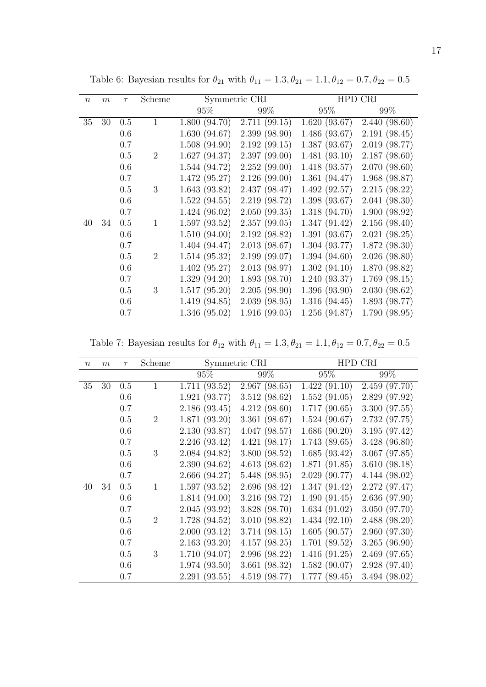| $\boldsymbol{n}$ | m  | $\tau$ | Scheme         | Symmetric CRI |               |               | HPD CRI       |
|------------------|----|--------|----------------|---------------|---------------|---------------|---------------|
|                  |    |        |                | 95%           | 99%           | 95%           | 99%           |
| 35               | 30 | 0.5    | $\mathbf{1}$   | 1.800(94.70)  | 2.711(99.15)  | 1.620(93.67)  | 2.440(98.60)  |
|                  |    | 0.6    |                | 1.630(94.67)  | 2.399(98.90)  | 1.486 (93.67) | 2.191(98.45)  |
|                  |    | 0.7    |                | 1.508(94.90)  | 2.192(99.15)  | 1.387(93.67)  | 2.019 (98.77) |
|                  |    | 0.5    | $\overline{2}$ | 1.627(94.37)  | 2.397(99.00)  | 1.481(93.10)  | 2.187(98.60)  |
|                  |    | 0.6    |                | 1.544 (94.72) | 2.252(99.00)  | 1.418(93.57)  | 2.070(98.60)  |
|                  |    | 0.7    |                | 1.472(95.27)  | 2.126(99.00)  | 1.361(94.47)  | 1.968 (98.87) |
|                  |    | 0.5    | 3              | 1.643(93.82)  | 2.437 (98.47) | 1.492(92.57)  | 2.215(98.22)  |
|                  |    | 0.6    |                | 1.522(94.55)  | 2.219 (98.72) | 1.398(93.67)  | 2.041(98.30)  |
|                  |    | 0.7    |                | 1.424(96.02)  | 2.050(99.35)  | 1.318(94.70)  | 1.900(98.92)  |
| 40               | 34 | 0.5    | $\mathbf{1}$   | 1.597(93.52)  | 2.357(99.05)  | 1.347(91.42)  | 2.156(98.40)  |
|                  |    | 0.6    |                | 1.510(94.00)  | 2.192 (98.82) | 1.391(93.67)  | 2.021(98.25)  |
|                  |    | 0.7    |                | 1.404(94.47)  | 2.013(98.67)  | 1.304(93.77)  | 1.872(98.30)  |
|                  |    | 0.5    | $\overline{2}$ | 1.514(95.32)  | 2.199(99.07)  | 1.394(94.60)  | 2.026(98.80)  |
|                  |    | 0.6    |                | 1.402(95.27)  | 2.013 (98.97) | 1.302(94.10)  | 1.870 (98.82) |
|                  |    | 0.7    |                | 1.329(94.20)  | 1.893(98.70)  | 1.240(93.37)  | 1.769(98.15)  |
|                  |    | 0.5    | 3              | 1.517(95.20)  | 2.205(98.90)  | 1.396(93.90)  | 2.030(98.62)  |
|                  |    | 0.6    |                | 1.419 (94.85) | 2.039(98.95)  | 1.316(94.45)  | 1.893(98.77)  |
|                  |    | 0.7    |                | 1.346(95.02)  | 1.916(99.05)  | 1.256(94.87)  | 1.790(98.95)  |

Table 6: Bayesian results for  $\theta_{21}$  with  $\theta_{11} = 1.3, \theta_{21} = 1.1, \theta_{12} = 0.7, \theta_{22} = 0.5$ 

Table 7: Bayesian results for  $\theta_{12}$  with  $\theta_{11} = 1.3, \theta_{21} = 1.1, \theta_{12} = 0.7, \theta_{22} = 0.5$ 

| $\boldsymbol{n}$ | m  | $\tau$ | Scheme         |               | Symmetric CRI |              | HPD CRI       |
|------------------|----|--------|----------------|---------------|---------------|--------------|---------------|
|                  |    |        |                | 95%           | 99%           | 95%          | $99\%$        |
| 35               | 30 | 0.5    | $\mathbf{1}$   | 1.711(93.52)  | 2.967(98.65)  | 1.422(91.10) | 2.459(97.70)  |
|                  |    | 0.6    |                | 1.921(93.77)  | 3.512(98.62)  | 1.552(91.05) | 2.829 (97.92) |
|                  |    | 0.7    |                | 2.186(93.45)  | 4.212(98.60)  | 1.717(90.65) | 3.300(97.55)  |
|                  |    | 0.5    | $\overline{2}$ | 1.871(93.20)  | 3.361(98.67)  | 1.524(90.67) | 2.732 (97.75) |
|                  |    | 0.6    |                | 2.130(93.87)  | 4.047(98.57)  | 1.686(90.20) | 3.195(97.42)  |
|                  |    | 0.7    |                | 2.246(93.42)  | 4.421(98.17)  | 1.743(89.65) | 3.428(96.80)  |
|                  |    | 0.5    | 3              | 2.084 (94.82) | 3.800(98.52)  | 1.685(93.42) | 3.067(97.85)  |
|                  |    | 0.6    |                | 2.390(94.62)  | 4.613(98.62)  | 1.871(91.85) | 3.610(98.18)  |
|                  |    | 0.7    |                | 2.666(94.27)  | 5.448 (98.95) | 2.029(90.77) | 4.144(98.02)  |
| 40               | 34 | 0.5    | 1              | 1.597(93.52)  | 2.696(98.42)  | 1.347(91.42) | 2.272(97.47)  |
|                  |    | 0.6    |                | 1.814(94.00)  | 3.216 (98.72) | 1.490(91.45) | 2.636(97.90)  |
|                  |    | 0.7    |                | 2.045(93.92)  | 3.828(98.70)  | 1.634(91.02) | 3.050(97.70)  |
|                  |    | 0.5    | $\overline{2}$ | 1.728(94.52)  | 3.010(98.82)  | 1.434(92.10) | 2.488(98.20)  |
|                  |    | 0.6    |                | 2.000(93.12)  | 3.714(98.15)  | 1.605(90.57) | 2.960(97.30)  |
|                  |    | 0.7    |                | 2.163(93.20)  | 4.157(98.25)  | 1.701(89.52) | 3.265(96.90)  |
|                  |    | 0.5    | 3              | 1.710 (94.07) | 2.996(98.22)  | 1.416(91.25) | 2.469(97.65)  |
|                  |    | 0.6    |                | 1.974(93.50)  | 3.661(98.32)  | 1.582(90.07) | 2.928 (97.40) |
|                  |    | 0.7    |                | 2.291(93.55)  | 4.519(98.77)  | 1.777(89.45) | 3.494(98.02)  |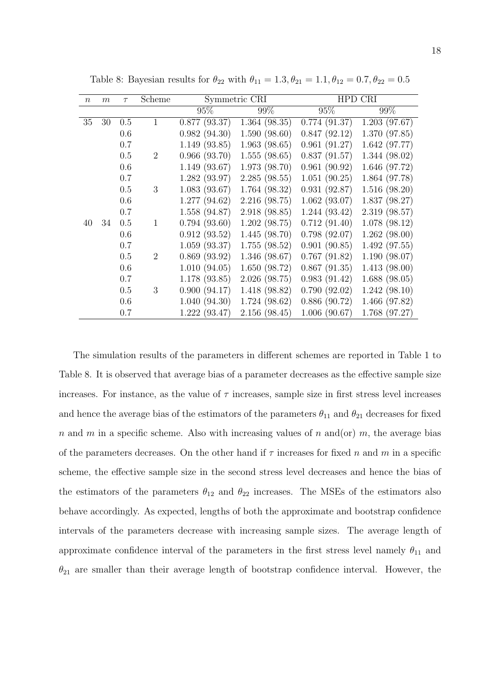| $\,n$ | $\boldsymbol{m}$ | $\tau$ | Scheme         |              | Symmetric CRI |              | HPD CRI       |
|-------|------------------|--------|----------------|--------------|---------------|--------------|---------------|
|       |                  |        |                | 95%          | 99%           | 95%          | $99\%$        |
| 35    | 30               | 0.5    | $\mathbf{1}$   | 0.877(93.37) | 1.364(98.35)  | 0.774(91.37) | 1.203(97.67)  |
|       |                  | 0.6    |                | 0.982(94.30) | 1.590(98.60)  | 0.847(92.12) | 1.370(97.85)  |
|       |                  | 0.7    |                | 1.149(93.85) | 1.963(98.65)  | 0.961(91.27) | 1.642(97.77)  |
|       |                  | 0.5    | $\overline{2}$ | 0.966(93.70) | 1.555(98.65)  | 0.837(91.57) | 1.344(98.02)  |
|       |                  | 0.6    |                | 1.149(93.67) | 1.973 (98.70) | 0.961(90.92) | 1.646 (97.72) |
|       |                  | 0.7    |                | 1.282(93.97) | 2.285(98.55)  | 1.051(90.25) | 1.864 (97.78) |
|       |                  | 0.5    | 3              | 1.083(93.67) | 1.764(98.32)  | 0.931(92.87) | 1.516(98.20)  |
|       |                  | 0.6    |                | 1.277(94.62) | 2.216 (98.75) | 1.062(93.07) | 1.837(98.27)  |
|       |                  | 0.7    |                | 1.558(94.87) | 2.918 (98.85) | 1.244(93.42) | 2.319(98.57)  |
| 40    | 34               | 0.5    | $\mathbf{1}$   | 0.794(93.60) | 1.202(98.75)  | 0.712(91.40) | 1.078(98.12)  |
|       |                  | 0.6    |                | 0.912(93.52) | 1.445(98.70)  | 0.798(92.07) | 1.262(98.00)  |
|       |                  | 0.7    |                | 1.059(93.37) | 1.755(98.52)  | 0.901(90.85) | 1.492(97.55)  |
|       |                  | 0.5    | $\overline{2}$ | 0.869(93.92) | 1.346(98.67)  | 0.767(91.82) | 1.190(98.07)  |
|       |                  | 0.6    |                | 1.010(94.05) | 1.650(98.72)  | 0.867(91.35) | 1.413(98.00)  |
|       |                  | 0.7    |                | 1.178(93.85) | 2.026(98.75)  | 0.983(91.42) | 1.688(98.05)  |
|       |                  | 0.5    | 3              | 0.900(94.17) | 1.418 (98.82) | 0.790(92.02) | 1.242(98.10)  |
|       |                  | 0.6    |                | 1.040(94.30) | 1.724(98.62)  | 0.886(90.72) | 1.466(97.82)  |
|       |                  | 0.7    |                | 1.222(93.47) | 2.156(98.45)  | 1.006(90.67) | 1.768(97.27)  |

Table 8: Bayesian results for  $\theta_{22}$  with  $\theta_{11} = 1.3, \theta_{21} = 1.1, \theta_{12} = 0.7, \theta_{22} = 0.5$ 

The simulation results of the parameters in different schemes are reported in Table 1 to Table 8. It is observed that average bias of a parameter decreases as the effective sample size increases. For instance, as the value of  $\tau$  increases, sample size in first stress level increases and hence the average bias of the estimators of the parameters  $\theta_{11}$  and  $\theta_{21}$  decreases for fixed n and m in a specific scheme. Also with increasing values of n and(or) m, the average bias of the parameters decreases. On the other hand if  $\tau$  increases for fixed n and m in a specific scheme, the effective sample size in the second stress level decreases and hence the bias of the estimators of the parameters  $\theta_{12}$  and  $\theta_{22}$  increases. The MSEs of the estimators also behave accordingly. As expected, lengths of both the approximate and bootstrap confidence intervals of the parameters decrease with increasing sample sizes. The average length of approximate confidence interval of the parameters in the first stress level namely  $\theta_{11}$  and  $\theta_{21}$  are smaller than their average length of bootstrap confidence interval. However, the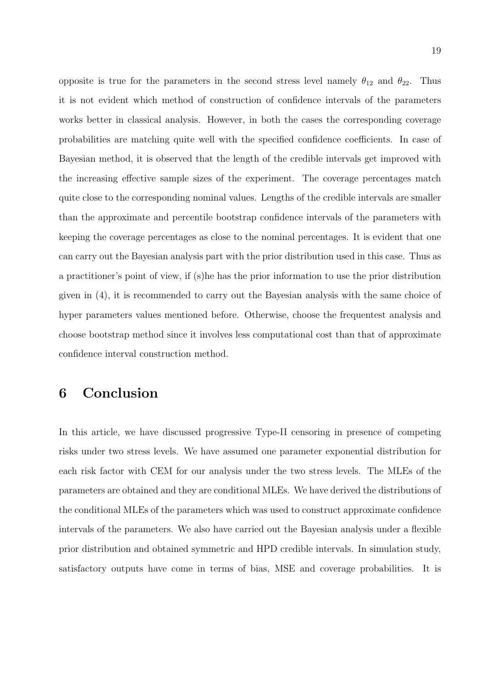opposite is true for the parameters in the second stress level namely  $\theta_{12}$  and  $\theta_{22}$ . Thus it is not evident which method of construction of confidence intervals of the parameters works better in classical analysis. However, in both the cases the corresponding coverage probabilities are matching quite well with the specified confidence coefficients. In case of Bayesian method, it is observed that the length of the credible intervals get improved with the increasing effective sample sizes of the experiment. The coverage percentages match quite close to the corresponding nominal values. Lengths of the credible intervals are smaller than the approximate and percentile bootstrap confidence intervals of the parameters with keeping the coverage percentages as close to the nominal percentages. It is evident that one can carry out the Bayesian analysis part with the prior distribution used in this case. Thus as a practitioner's point of view, if (s)he has the prior information to use the prior distribution given in (4), it is recommended to carry out the Bayesian analysis with the same choice of hyper parameters values mentioned before. Otherwise, choose the frequentest analysis and choose bootstrap method since it involves less computational cost than that of approximate confidence interval construction method.

# 6 Conclusion

In this article, we have discussed progressive Type-II censoring in presence of competing risks under two stress levels. We have assumed one parameter exponential distribution for each risk factor with CEM for our analysis under the two stress levels. The MLEs of the parameters are obtained and they are conditional MLEs. We have derived the distributions of the conditional MLEs of the parameters which was used to construct approximate confidence intervals of the parameters. We also have carried out the Bayesian analysis under a flexible prior distribution and obtained symmetric and HPD credible intervals. In simulation study, satisfactory outputs have come in terms of bias, MSE and coverage probabilities. It is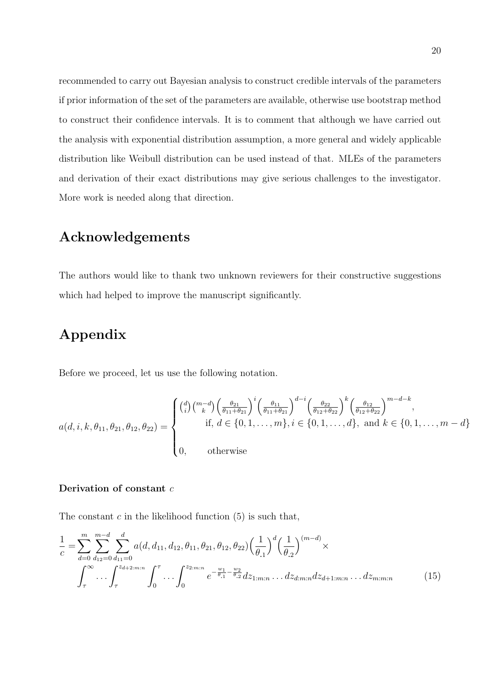recommended to carry out Bayesian analysis to construct credible intervals of the parameters if prior information of the set of the parameters are available, otherwise use bootstrap method to construct their confidence intervals. It is to comment that although we have carried out the analysis with exponential distribution assumption, a more general and widely applicable distribution like Weibull distribution can be used instead of that. MLEs of the parameters and derivation of their exact distributions may give serious challenges to the investigator. More work is needed along that direction.

### Acknowledgements

The authors would like to thank two unknown reviewers for their constructive suggestions which had helped to improve the manuscript significantly.

# Appendix

Before we proceed, let us use the following notation.

$$
a(d, i, k, \theta_{11}, \theta_{21}, \theta_{12}, \theta_{22}) = \begin{cases} {d \choose i} {m-d \choose k} \left(\frac{\theta_{21}}{\theta_{11} + \theta_{21}}\right)^i \left(\frac{\theta_{11}}{\theta_{11} + \theta_{21}}\right)^{d-i} \left(\frac{\theta_{22}}{\theta_{12} + \theta_{22}}\right)^k \left(\frac{\theta_{12}}{\theta_{12} + \theta_{22}}\right)^{m-d-k}, \\ \text{if, } d \in \{0, 1, \dots, m\}, i \in \{0, 1, \dots, d\}, \text{ and } k \in \{0, 1, \dots, m-d\} \\ 0, \quad \text{otherwise} \end{cases}
$$

### Derivation of constant c

The constant  $c$  in the likelihood function  $(5)$  is such that,

$$
\frac{1}{c} = \sum_{d=0}^{m} \sum_{d_{12}=0}^{m-d} \sum_{d_{11}=0}^{d} a(d, d_{11}, d_{12}, \theta_{11}, \theta_{21}, \theta_{12}, \theta_{22}) \left(\frac{1}{\theta_{.1}}\right)^d \left(\frac{1}{\theta_{.2}}\right)^{(m-d)} \times \int_{\tau}^{\infty} \cdots \int_{\tau}^{z_{d+2:m:n}} \int_{0}^{\tau} \cdots \int_{0}^{z_{2:m:n}} e^{-\frac{w_{1}}{\theta_{.1}} - \frac{w_{2}}{\theta_{.2}}} dz_{1:m:n} \ldots dz_{d:m:n} dz_{d+1:m:n} \ldots dz_{m:m:n}
$$
(15)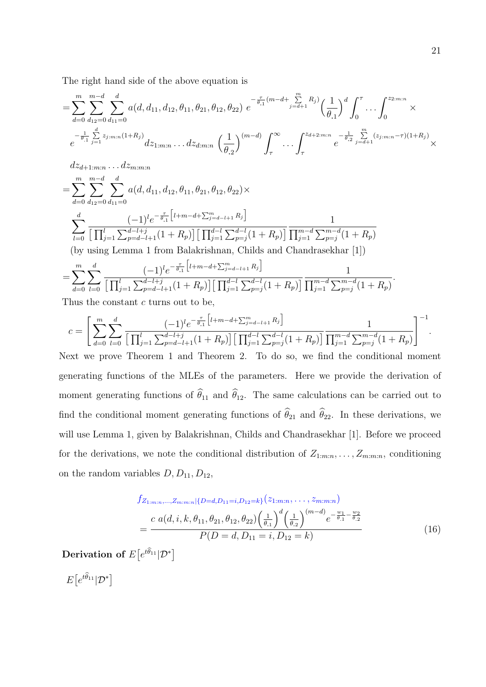The right hand side of the above equation is

$$
= \sum_{d=0}^{m} \sum_{d_{12}=0}^{m-d} \sum_{d_{11}=0}^{d} a(d, d_{11}, d_{12}, \theta_{11}, \theta_{21}, \theta_{12}, \theta_{22}) e^{-\frac{\tau}{\theta_{.1}}(m-d + \sum_{j=d+1}^{m} R_j)} \left(\frac{1}{\theta_{.1}}\right)^d \int_0^{\tau} \dots \int_0^{z_{2:m:n}} \times e^{-\frac{1}{\theta_{.1}} \sum_{j=1}^{d} z_{j:m:n} (1+R_j)} dz_{1:m:n} \dots dz_{d:m:n} \left(\frac{1}{\theta_{.2}}\right)^{(m-d)} \int_{\tau}^{\infty} \dots \int_{\tau}^{z_{d+2:m:n}} e^{-\frac{1}{\theta_{.2}} \sum_{j=d+1}^{m} (z_{j:m:n}-\tau) (1+R_j)} \times
$$

 $dz_{d+1:m:n} \ldots dz_{m:m:n}$ 

$$
= \sum_{d=0}^{m} \sum_{d_{12}=0}^{m-d} \sum_{d_{11}=0}^{d} a(d, d_{11}, d_{12}, \theta_{11}, \theta_{21}, \theta_{12}, \theta_{22}) \times
$$
  

$$
\sum_{l=0}^{d} \frac{(-1)^{l} e^{-\frac{\tau}{\theta_{.1}} \left[l+m-d+\sum_{j=d-l+1}^{m} R_{j}\right]}}{\left[\prod_{j=1}^{l} \sum_{p=d-l+1}^{d-l+1} (1+R_{p})\right] \left[\prod_{j=1}^{d-l} \sum_{p=j}^{d-l+1} (1+R_{p})\right]} \frac{1}{\prod_{j=1}^{m-d} \sum_{p=j}^{m-d} (1+R_{p})}
$$
  
(by using Lemma 1 from Balakrishnan, Childs and Chandrasekhar [1])

$$
= \sum_{d=0}^{m} \sum_{l=0}^{d} \frac{(-1)^{l} e^{-\frac{\tau}{\theta_{.1}} \left[ l+m-d+\sum_{j=d-l+1}^{m} R_{j} \right]}}{\left[ \prod_{j=1}^{l} \sum_{p=d-l+1}^{d-l+j} (1+R_{p}) \right] \left[ \prod_{j=1}^{d-l} \sum_{p=j}^{d-l} (1+R_{p}) \right]} \frac{1}{\prod_{j=1}^{m-d} \sum_{p=j}^{m-d} (1+R_{p})}
$$

Thus the constant c turns out to be,

$$
c = \left[ \sum_{d=0}^{m} \sum_{l=0}^{d} \frac{(-1)^{l} e^{-\frac{\tau}{\theta_{.1}} \left[ l+m-d+\sum_{j=d-l+1}^{m} R_{j} \right]}}{\left[ \prod_{j=1}^{l} \sum_{p=d-l+1}^{d-l+j} (1+R_{p}) \right] \left[ \prod_{j=1}^{d-l} \sum_{p=j}^{d-l} (1+R_{p}) \right]} \frac{1}{\prod_{j=1}^{m-d} \sum_{p=j}^{m-d} (1+R_{p})} \right]^{-1}.
$$

Next we prove Theorem 1 and Theorem 2. To do so, we find the conditional moment generating functions of the MLEs of the parameters. Here we provide the derivation of moment generating functions of  $\hat{\theta}_{11}$  and  $\hat{\theta}_{12}$ . The same calculations can be carried out to find the conditional moment generating functions of  $\hat{\theta}_{21}$  and  $\hat{\theta}_{22}$ . In these derivations, we will use Lemma 1, given by Balakrishnan, Childs and Chandrasekhar [1]. Before we proceed for the derivations, we note the conditional distribution of  $Z_{1:m:n}, \ldots, Z_{m:m:n}$ , conditioning on the random variables  $D, D_{11}, D_{12}$ ,

$$
f_{Z_{1:m:n},...,Z_{m:m:n}|\{D=d,D_{11}=i,D_{12}=k\}}(z_{1:m:n},...,z_{m:m:n})
$$
  
= 
$$
\frac{c \ a(d,i,k,\theta_{11},\theta_{21},\theta_{12},\theta_{22}) \left(\frac{1}{\theta_{11}}\right)^d \left(\frac{1}{\theta_{2}}\right)^{(m-d)} e^{-\frac{w_1}{\theta_{11}} - \frac{w_2}{\theta_{22}}}}{P(D=d,D_{11}=i,D_{12}=k)}
$$
(16)

Derivation of  $E\big[e^{t\widehat\theta_{11}} \vert \mathcal{D}^\ast\big]$ 

 $E\big[e^{t\widehat{\theta}_{11}}|\mathcal{D}^* \big]$ 

.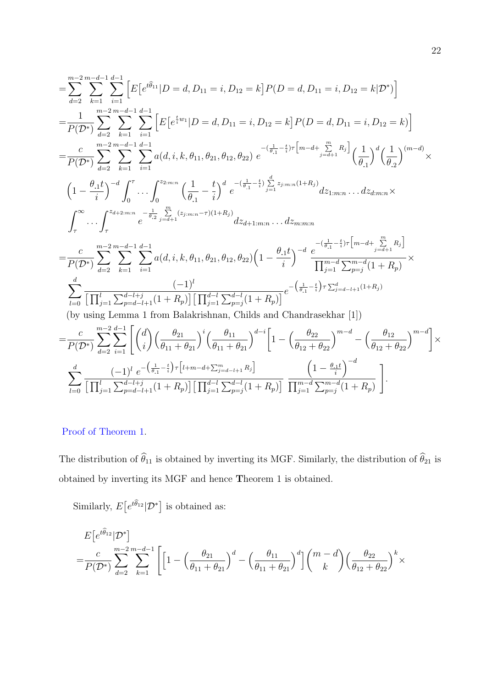$$
\sum_{d=2}^{m-2} \sum_{k=1}^{m-d-1} \sum_{i=1}^{d-1} \left[ E\left[e^{i\hat{\theta}_{11}} | D=d, D_{11}=i, D_{12}=k\right] P(D=d, D_{11}=i, D_{12}=k | \mathcal{D}^{*}) \right]
$$
\n
$$
= \frac{1}{P(\mathcal{D}^{*})} \sum_{d=2}^{m-2} \sum_{k=1}^{m-d-1} \sum_{i=1}^{d-1} \left[ E\left[e^{i w_{1}} | D=d, D_{11}=i, D_{12}=k\right] P(D=d, D_{11}=i, D_{12}=k) \right]
$$
\n
$$
= \frac{c}{P(\mathcal{D}^{*})} \sum_{d=2}^{m-2} \sum_{k=1}^{m-d-1} \sum_{i=1}^{d-1} a(d, i, k, \theta_{11}, \theta_{21}, \theta_{12}, \theta_{22}) e^{-\left(\frac{1}{\theta_{11}} - \frac{1}{i}\right)\tau} \left[ m - d + \sum_{j=d+1}^{m} R_{j} \right] \left(\frac{1}{\theta_{11}}\right)^{d} \left(\frac{1}{\theta_{22}}\right)^{(m-d)} \times
$$
\n
$$
\left(1 - \frac{\theta_{11}t}{i}\right)^{-d} \int_{0}^{\tau} \dots \int_{0}^{z_{2m+n}} \left(\frac{1}{\theta_{11}} - \frac{t}{i}\right)^{d} e^{-\left(\frac{1}{\theta_{11}} - \frac{t}{i}\right)\sum_{j=1}^{d} z_{j:m:n}(1+R_{j})} dz_{1:m:n} \dots dz_{dm:n} \times
$$
\n
$$
\int_{\tau}^{\infty} \dots \int_{\tau}^{z_{d+2,m:n}} e^{-\frac{1}{\theta_{22}} \sum_{j=d+1}^{m} (z_{j:m:n} - \tau)(1+R_{j})} dz_{d+1:m:n} \dots dz_{m:m}
$$
\n
$$
= \frac{c}{P(\mathcal{D}^{*})} \sum_{d=2}^{m-2} \sum_{k=1}^{m-d-1} \sum_{i=1}^{d-1} a(d, i, k, \theta_{11}, \theta_{21}, \theta_{12}, \theta_{22}) \left(1 - \frac{\theta_{11}t}{i}\right)^{-d}
$$

$$
\sum_{l=0}^{d} \frac{(-1)^{l} e^{-\left(\frac{1}{\theta_{.1}} - \frac{t}{i}\right)\tau \left[l+m-d+\sum_{j=d-l+1}^{m} R_{j}\right]}}{\left[\prod_{j=1}^{l} \sum_{p=d-l+1}^{d-l+j} (1+R_{p})\right] \left[\prod_{j=1}^{d-l} \sum_{p=j}^{d-l} (1+R_{p})\right]} \frac{\left(1-\frac{\theta_{.1}t}{i}\right)^{-d}}{\prod_{j=1}^{m-d} \sum_{p=j}^{m-d} (1+R_{p})}\Bigg].
$$

### Proof of Theorem 1.

The distribution of  $\widehat{\theta}_{11}$  is obtained by inverting its MGF. Similarly, the distribution of  $\widehat{\theta}_{21}$  is obtained by inverting its MGF and hence Theorem 1 is obtained.

Similarly,  $E\left[e^{t\widehat{\theta}_{12}}|\mathcal{D}^*\right]$  is obtained as:

$$
\begin{split} &E\!\left[e^{t\widehat{\theta}_{12}}|\mathcal{D}^*\right]\\ =&\frac{c}{P(\mathcal{D}^*)}\sum_{d=2}^{m-2}\sum_{k=1}^{m-d-1}\Bigg[\Big[1-\Big(\frac{\theta_{21}}{\theta_{11}+\theta_{21}}\Big)^d-\Big(\frac{\theta_{11}}{\theta_{11}+\theta_{21}}\Big)^d\Big]\binom{m-d}{k}\Big(\frac{\theta_{22}}{\theta_{12}+\theta_{22}}\Big)^k\times \end{split}
$$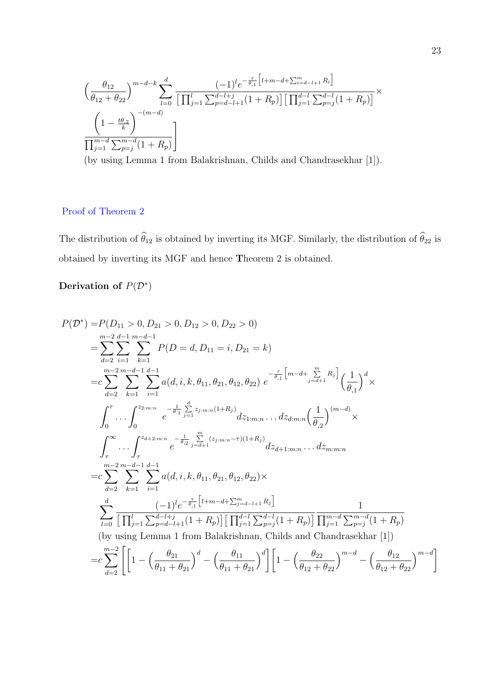$$
\left(\frac{\theta_{12}}{\theta_{12} + \theta_{22}}\right)^{m-d-k} \sum_{l=0}^{d} \frac{(-1)^{l} e^{-\frac{\tau}{\theta_{.1}} \left[l+m-d+\sum_{i=d-l+1}^{m} R_{i}\right]}}{\left[\prod_{j=1}^{l} \sum_{p=d-l+1}^{d-l+j} (1+R_{p})\right] \left[\prod_{j=1}^{d-l} \sum_{p=j}^{d-l} (1+R_{p})\right]} \times \left(\frac{1 - \frac{t\theta_{.2}}{k}}{\prod_{j=1}^{m-d} \sum_{p=j}^{m-d} (1+R_{p})}\right]
$$

(by using Lemma 1 from Balakrishnan, Childs and Chandrasekhar [1]).

### Proof of Theorem 2

The distribution of  $\widehat{\theta}_{12}$  is obtained by inverting its MGF. Similarly, the distribution of  $\widehat{\theta}_{22}$  is obtained by inverting its MGF and hence Theorem 2 is obtained.

### Derivation of  $P(\mathcal{D}^*)$

$$
P(D^*) = P(D_{11} > 0, D_{21} > 0, D_{12} > 0, D_{22} > 0)
$$
  
\n
$$
= \sum_{d=2}^{m-2} \sum_{i=1}^{d-1} \sum_{k=1}^{m-d-1} P(D = d, D_{11} = i, D_{21} = k)
$$
  
\n
$$
= c \sum_{d=2}^{m-2} \sum_{k=1}^{m-d-1} \sum_{i=1}^{d-1} a(d, i, k, \theta_{11}, \theta_{21}, \theta_{12}, \theta_{22}) e^{-\frac{\tau}{\theta_{11}} \left[m-d + \sum_{j=d+1}^{m} R_j\right]} \left(\frac{1}{\theta_{11}}\right)^d \times
$$
  
\n
$$
\int_0^{\tau} \cdots \int_0^{22 \cdot m \cdot n} e^{-\frac{1}{\theta_{11}} \sum_{j=1}^{d} z_{j, m, n} (1+R_j)} dz_{1, m, n} \cdots dz_{d, m, n} \left(\frac{1}{\theta_{22}}\right)^{(m-d)} \times
$$
  
\n
$$
\int_{\tau}^{\infty} \cdots \int_{\tau}^{z_{d+2, m, n}} e^{-\frac{1}{\theta_{22}} \sum_{j=d+1}^{m} (z_{j, m, n} - \tau)(1+R_j)} dz_{d+1, m, n} \cdots dz_{m, m, n}
$$
  
\n
$$
= c \sum_{d=2}^{m-2} \sum_{k=1}^{m-d-1} \sum_{i=1}^{d-1} a(d, i, k, \theta_{11}, \theta_{21}, \theta_{12}, \theta_{22}) \times
$$
  
\n
$$
\sum_{l=0}^{d} \frac{(-1)^l e^{-\frac{\tau}{\theta_{11}} \left[l + m - d + \sum_{j=d-l+1}^{m} R_j\right]}}{\left[\prod_{j=1}^{d-1} \sum_{p=d-l+1}^{d-l+1} (1+R_p)\right] \left[\prod_{j=1}^{d-1} \sum_{p=j}^{d-l+1} (1+R_p)\right]} \frac{1}{\prod_{j=1}^{m-d} \sum_{p=j}^{m-d} (1+R_p)}
$$
  
\n(by using Lemma 1 from Balakrishnan, Childs and Chandrasekhar [1])  
\n
$$
= c \sum_{
$$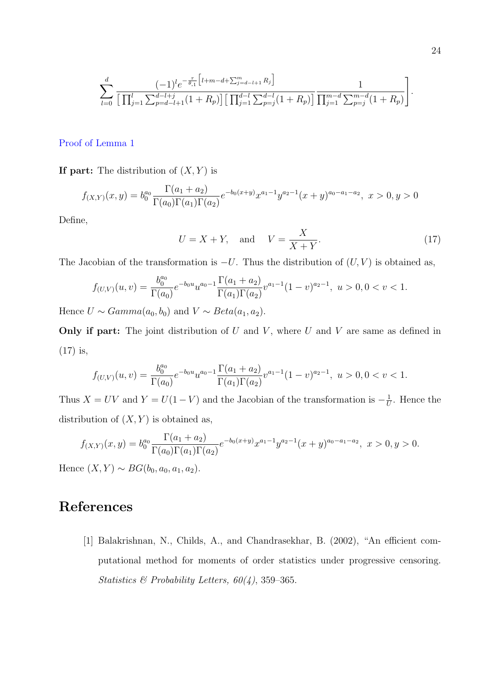$$
\sum_{l=0}^{d} \frac{(-1)^{l} e^{-\frac{\tau}{\theta.1} \left[ l+m-d+\sum_{j=d-l+1}^{m} R_j \right]}}{\left[ \prod_{j=1}^{l} \sum_{p=d-l+1}^{d-l+j} (1+R_p) \right] \left[ \prod_{j=1}^{d-l} \sum_{p=j}^{d-l} (1+R_p) \right]} \frac{1}{\prod_{j=1}^{m-d} \sum_{p=j}^{m-d} (1+R_p)} \right]
$$

#### Proof of Lemma 1

If part: The distribution of  $(X, Y)$  is

$$
f_{(X,Y)}(x,y) = b_0^{a_0} \frac{\Gamma(a_1 + a_2)}{\Gamma(a_0)\Gamma(a_1)\Gamma(a_2)} e^{-b_0(x+y)} x^{a_1-1} y^{a_2-1} (x+y)^{a_0-a_1-a_2}, \ x > 0, y > 0
$$

Define,

$$
U = X + Y, \quad \text{and} \quad V = \frac{X}{X + Y}.
$$
\n<sup>(17)</sup>

The Jacobian of the transformation is  $-U$ . Thus the distribution of  $(U, V)$  is obtained as,

$$
f_{(U,V)}(u,v) = \frac{b_0^{a_0}}{\Gamma(a_0)} e^{-b_0 u} u^{a_0 - 1} \frac{\Gamma(a_1 + a_2)}{\Gamma(a_1)\Gamma(a_2)} v^{a_1 - 1} (1 - v)^{a_2 - 1}, \ u > 0, 0 < v < 1.
$$

Hence  $U \sim Gamma(a_0, b_0)$  and  $V \sim Beta(a_1, a_2)$ .

**Only if part:** The joint distribution of  $U$  and  $V$ , where  $U$  and  $V$  are same as defined in (17) is,

$$
f_{(U,V)}(u,v)=\frac{b_0^{a_0}}{\Gamma(a_0)}e^{-b_0u}u^{a_0-1}\frac{\Gamma(a_1+a_2)}{\Gamma(a_1)\Gamma(a_2)}v^{a_1-1}(1-v)^{a_2-1},\,\,u>0,0
$$

Thus  $X = UV$  and  $Y = U(1 - V)$  and the Jacobian of the transformation is  $-\frac{1}{U}$  $\frac{1}{U}$ . Hence the distribution of  $(X, Y)$  is obtained as,

$$
f_{(X,Y)}(x,y) = b_0^{a_0} \frac{\Gamma(a_1 + a_2)}{\Gamma(a_0)\Gamma(a_1)\Gamma(a_2)} e^{-b_0(x+y)} x^{a_1-1} y^{a_2-1} (x+y)^{a_0-a_1-a_2}, \ x > 0, y > 0.
$$

Hence  $(X, Y) \sim BG(b_0, a_0, a_1, a_2)$ .

# References

[1] Balakrishnan, N., Childs, A., and Chandrasekhar, B. (2002), "An efficient computational method for moments of order statistics under progressive censoring. *Statistics & Probability Letters, 60(4)*, 359–365.

.